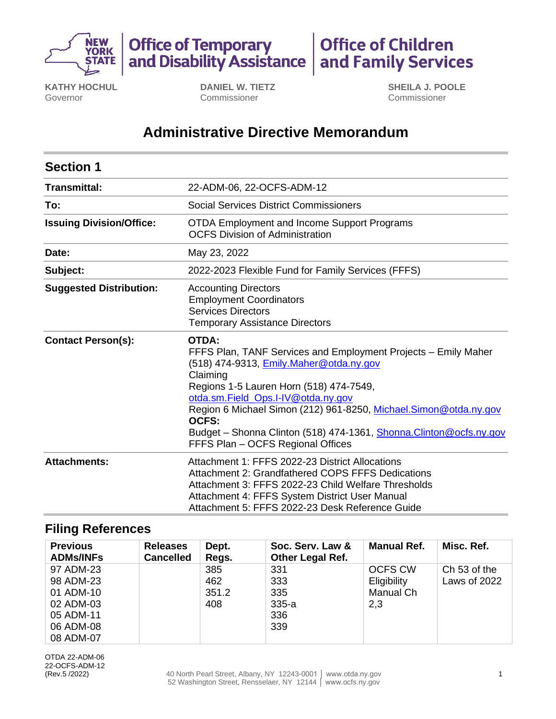

**Office of Temporary<br>and Disability Assistance Office of Children<br>and Family Services** 

**KATHY HOCHUL** Governor

**DANIEL W. TIETZ** Commissioner

**SHEILA J. POOLE** Commissioner

# **Administrative Directive Memorandum**

| <b>Section 1</b>                |                                                                                                                                                                                                                                                                                                                                                                                                                        |
|---------------------------------|------------------------------------------------------------------------------------------------------------------------------------------------------------------------------------------------------------------------------------------------------------------------------------------------------------------------------------------------------------------------------------------------------------------------|
| Transmittal:                    | 22-ADM-06, 22-OCFS-ADM-12                                                                                                                                                                                                                                                                                                                                                                                              |
| To:                             | Social Services District Commissioners                                                                                                                                                                                                                                                                                                                                                                                 |
| <b>Issuing Division/Office:</b> | <b>OTDA Employment and Income Support Programs</b><br><b>OCFS Division of Administration</b>                                                                                                                                                                                                                                                                                                                           |
| Date:                           | May 23, 2022                                                                                                                                                                                                                                                                                                                                                                                                           |
| Subject:                        | 2022-2023 Flexible Fund for Family Services (FFFS)                                                                                                                                                                                                                                                                                                                                                                     |
| <b>Suggested Distribution:</b>  | <b>Accounting Directors</b><br><b>Employment Coordinators</b><br><b>Services Directors</b><br><b>Temporary Assistance Directors</b>                                                                                                                                                                                                                                                                                    |
| <b>Contact Person(s):</b>       | <b>OTDA:</b><br>FFFS Plan, TANF Services and Employment Projects - Emily Maher<br>(518) 474-9313, <b>Emily.Maher@otda.ny.gov</b><br>Claiming<br>Regions 1-5 Lauren Horn (518) 474-7549,<br>otda.sm.Field_Ops.I-IV@otda.ny.gov<br>Region 6 Michael Simon (212) 961-8250, Michael.Simon@otda.ny.gov<br>OCFS:<br>Budget - Shonna Clinton (518) 474-1361, Shonna. Clinton@ocfs.ny.gov<br>FFFS Plan - OCFS Regional Offices |
| <b>Attachments:</b>             | Attachment 1: FFFS 2022-23 District Allocations<br>Attachment 2: Grandfathered COPS FFFS Dedications<br>Attachment 3: FFFS 2022-23 Child Welfare Thresholds<br>Attachment 4: FFFS System District User Manual<br>Attachment 5: FFFS 2022-23 Desk Reference Guide                                                                                                                                                       |

## **Filing References**

| <b>Previous</b><br><b>ADMs/INFs</b> | <b>Releases</b><br><b>Cancelled</b> | Dept.<br>Regs. | Soc. Serv. Law &<br><b>Other Legal Ref.</b> | <b>Manual Ref.</b> | Misc. Ref.   |
|-------------------------------------|-------------------------------------|----------------|---------------------------------------------|--------------------|--------------|
| 97 ADM-23                           |                                     | 385            | 331                                         | <b>OCFS CW</b>     | Ch 53 of the |
| 98 ADM-23                           |                                     | 462            | 333                                         | Eligibility        | Laws of 2022 |
| 01 ADM-10                           |                                     | 351.2          | 335                                         | Manual Ch          |              |
| 02 ADM-03                           |                                     | 408            | $335-a$                                     | 2,3                |              |
| 05 ADM-11                           |                                     |                | 336                                         |                    |              |
| 06 ADM-08                           |                                     |                | 339                                         |                    |              |
| 08 ADM-07                           |                                     |                |                                             |                    |              |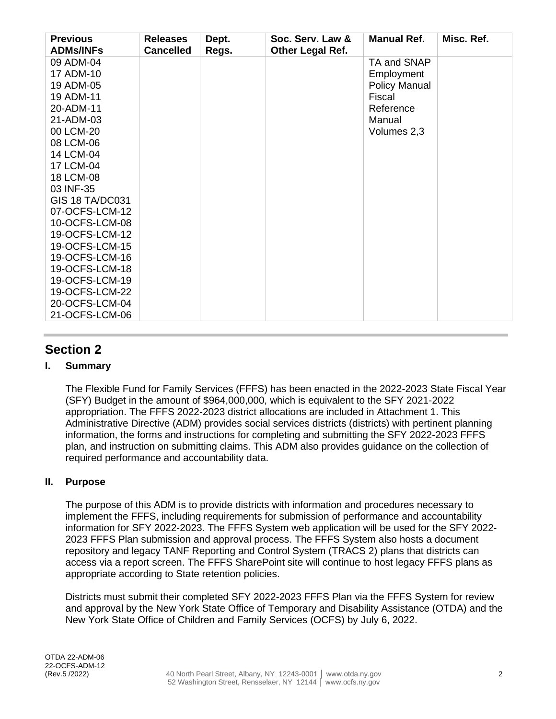| <b>Previous</b><br><b>ADMs/INFs</b> | <b>Releases</b><br><b>Cancelled</b> | Dept.<br>Regs. | Soc. Serv. Law &<br>Other Legal Ref. | <b>Manual Ref.</b>   | Misc. Ref. |
|-------------------------------------|-------------------------------------|----------------|--------------------------------------|----------------------|------------|
| 09 ADM-04                           |                                     |                |                                      | TA and SNAP          |            |
| 17 ADM-10                           |                                     |                |                                      | Employment           |            |
| 19 ADM-05                           |                                     |                |                                      | <b>Policy Manual</b> |            |
| 19 ADM-11                           |                                     |                |                                      | Fiscal               |            |
| 20-ADM-11                           |                                     |                |                                      | Reference            |            |
| 21-ADM-03                           |                                     |                |                                      | Manual               |            |
| 00 LCM-20                           |                                     |                |                                      | Volumes 2,3          |            |
| 08 LCM-06                           |                                     |                |                                      |                      |            |
| 14 LCM-04                           |                                     |                |                                      |                      |            |
| 17 LCM-04                           |                                     |                |                                      |                      |            |
| 18 LCM-08                           |                                     |                |                                      |                      |            |
| 03 INF-35                           |                                     |                |                                      |                      |            |
| GIS 18 TA/DC031                     |                                     |                |                                      |                      |            |
| 07-OCFS-LCM-12                      |                                     |                |                                      |                      |            |
| 10-OCFS-LCM-08                      |                                     |                |                                      |                      |            |
| 19-OCFS-LCM-12                      |                                     |                |                                      |                      |            |
| 19-OCFS-LCM-15                      |                                     |                |                                      |                      |            |
| 19-OCFS-LCM-16                      |                                     |                |                                      |                      |            |
| 19-OCFS-LCM-18                      |                                     |                |                                      |                      |            |
| 19-OCFS-LCM-19                      |                                     |                |                                      |                      |            |
| 19-OCFS-LCM-22                      |                                     |                |                                      |                      |            |
| 20-OCFS-LCM-04                      |                                     |                |                                      |                      |            |
| 21-OCFS-LCM-06                      |                                     |                |                                      |                      |            |

## **Section 2**

## **I. Summary**

The Flexible Fund for Family Services (FFFS) has been enacted in the 2022-2023 State Fiscal Year (SFY) Budget in the amount of \$964,000,000, which is equivalent to the SFY 2021-2022 appropriation. The FFFS 2022-2023 district allocations are included in Attachment 1. This Administrative Directive (ADM) provides social services districts (districts) with pertinent planning information, the forms and instructions for completing and submitting the SFY 2022-2023 FFFS plan, and instruction on submitting claims. This ADM also provides guidance on the collection of required performance and accountability data.

#### **II. Purpose**

The purpose of this ADM is to provide districts with information and procedures necessary to implement the FFFS, including requirements for submission of performance and accountability information for SFY 2022-2023. The FFFS System web application will be used for the SFY 2022- 2023 FFFS Plan submission and approval process. The FFFS System also hosts a document repository and legacy TANF Reporting and Control System (TRACS 2) plans that districts can access via a report screen. The FFFS SharePoint site will continue to host legacy FFFS plans as appropriate according to State retention policies.

Districts must submit their completed SFY 2022-2023 FFFS Plan via the FFFS System for review and approval by the New York State Office of Temporary and Disability Assistance (OTDA) and the New York State Office of Children and Family Services (OCFS) by July 6, 2022.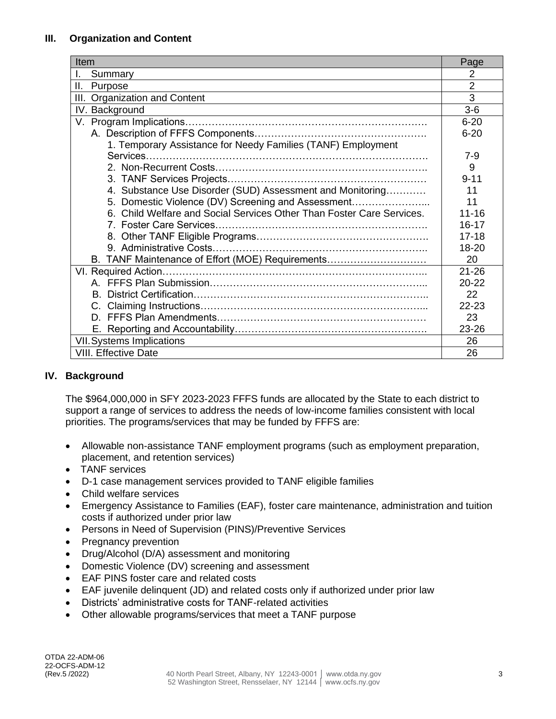#### **III. Organization and Content**

| Item                                                                  |                |
|-----------------------------------------------------------------------|----------------|
| Summary                                                               | $\overline{2}$ |
| ΙΙ.<br>Purpose                                                        | $\overline{2}$ |
| <b>Organization and Content</b><br>III.                               | 3              |
| IV. Background                                                        | $3-6$          |
|                                                                       | $6 - 20$       |
|                                                                       | $6 - 20$       |
| 1. Temporary Assistance for Needy Families (TANF) Employment          |                |
|                                                                       | $7-9$          |
|                                                                       | 9              |
|                                                                       | $9 - 11$       |
| 4. Substance Use Disorder (SUD) Assessment and Monitoring             | 11             |
| 5. Domestic Violence (DV) Screening and Assessment                    | 11             |
| 6. Child Welfare and Social Services Other Than Foster Care Services. | $11 - 16$      |
|                                                                       | 16-17          |
|                                                                       | $17 - 18$      |
|                                                                       | 18-20          |
| B. TANF Maintenance of Effort (MOE) Requirements                      | 20             |
|                                                                       | $21 - 26$      |
|                                                                       | $20 - 22$      |
| B.                                                                    | 22             |
| C.                                                                    | $22 - 23$      |
|                                                                       | 23             |
|                                                                       | $23 - 26$      |
| <b>VII.</b> Systems Implications                                      |                |
| <b>VIII. Effective Date</b>                                           | 26             |

## **IV. Background**

The \$964,000,000 in SFY 2023-2023 FFFS funds are allocated by the State to each district to support a range of services to address the needs of low-income families consistent with local priorities. The programs/services that may be funded by FFFS are:

- Allowable non-assistance TANF employment programs (such as employment preparation, placement, and retention services)
- TANF services
- D-1 case management services provided to TANF eligible families
- Child welfare services
- Emergency Assistance to Families (EAF), foster care maintenance, administration and tuition costs if authorized under prior law
- Persons in Need of Supervision (PINS)/Preventive Services
- Pregnancy prevention
- Drug/Alcohol (D/A) assessment and monitoring
- Domestic Violence (DV) screening and assessment
- EAF PINS foster care and related costs
- EAF juvenile delinquent (JD) and related costs only if authorized under prior law
- Districts' administrative costs for TANF-related activities
- Other allowable programs/services that meet a TANF purpose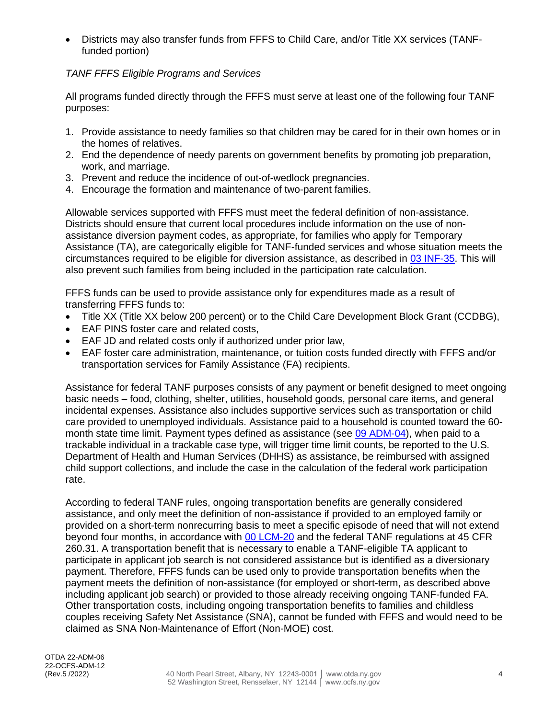• Districts may also transfer funds from FFFS to Child Care, and/or Title XX services (TANFfunded portion)

### *TANF FFFS Eligible Programs and Services*

All programs funded directly through the FFFS must serve at least one of the following four TANF purposes:

- 1. Provide assistance to needy families so that children may be cared for in their own homes or in the homes of relatives.
- 2. End the dependence of needy parents on government benefits by promoting job preparation, work, and marriage.
- 3. Prevent and reduce the incidence of out-of-wedlock pregnancies.
- 4. Encourage the formation and maintenance of two-parent families.

Allowable services supported with FFFS must meet the federal definition of non-assistance. Districts should ensure that current local procedures include information on the use of nonassistance diversion payment codes, as appropriate, for families who apply for Temporary Assistance (TA), are categorically eligible for TANF-funded services and whose situation meets the circumstances required to be eligible for diversion assistance, as described in [03 INF-35.](https://otda.ny.gov/policy/directives/2003/INF/03_INF-35.pdf) This will also prevent such families from being included in the participation rate calculation.

FFFS funds can be used to provide assistance only for expenditures made as a result of transferring FFFS funds to:

- Title XX (Title XX below 200 percent) or to the Child Care Development Block Grant (CCDBG),
- EAF PINS foster care and related costs,
- EAF JD and related costs only if authorized under prior law,
- EAF foster care administration, maintenance, or tuition costs funded directly with FFFS and/or transportation services for Family Assistance (FA) recipients.

Assistance for federal TANF purposes consists of any payment or benefit designed to meet ongoing basic needs – food, clothing, shelter, utilities, household goods, personal care items, and general incidental expenses. Assistance also includes supportive services such as transportation or child care provided to unemployed individuals. Assistance paid to a household is counted toward the 60- month state time limit. Payment types defined as assistance (see [09 ADM-04\)](http://otda.ny.gov/policy/directives/2009/ADM/09-ADM-04.pdf), when paid to a trackable individual in a trackable case type, will trigger time limit counts, be reported to the U.S. Department of Health and Human Services (DHHS) as assistance, be reimbursed with assigned child support collections, and include the case in the calculation of the federal work participation rate.

According to federal TANF rules, ongoing transportation benefits are generally considered assistance, and only meet the definition of non-assistance if provided to an employed family or provided on a short-term nonrecurring basis to meet a specific episode of need that will not extend beyond four months, in accordance with [00 LCM-20](http://otda.ny.gov/policy/directives/2000/LCM/00_LCM-20.pdf) and the federal TANF regulations at 45 CFR 260.31. A transportation benefit that is necessary to enable a TANF-eligible TA applicant to participate in applicant job search is not considered assistance but is identified as a diversionary payment. Therefore, FFFS funds can be used only to provide transportation benefits when the payment meets the definition of non-assistance (for employed or short-term, as described above including applicant job search) or provided to those already receiving ongoing TANF-funded FA. Other transportation costs, including ongoing transportation benefits to families and childless couples receiving Safety Net Assistance (SNA), cannot be funded with FFFS and would need to be claimed as SNA Non-Maintenance of Effort (Non-MOE) cost.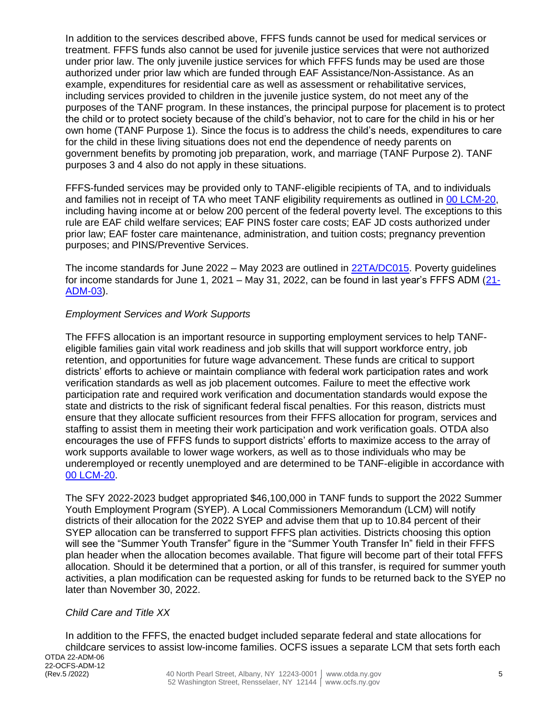In addition to the services described above, FFFS funds cannot be used for medical services or treatment. FFFS funds also cannot be used for juvenile justice services that were not authorized under prior law. The only juvenile justice services for which FFFS funds may be used are those authorized under prior law which are funded through EAF Assistance/Non-Assistance. As an example, expenditures for residential care as well as assessment or rehabilitative services, including services provided to children in the juvenile justice system, do not meet any of the purposes of the TANF program. In these instances, the principal purpose for placement is to protect the child or to protect society because of the child's behavior, not to care for the child in his or her own home (TANF Purpose 1). Since the focus is to address the child's needs, expenditures to care for the child in these living situations does not end the dependence of needy parents on government benefits by promoting job preparation, work, and marriage (TANF Purpose 2). TANF purposes 3 and 4 also do not apply in these situations.

FFFS-funded services may be provided only to TANF-eligible recipients of TA, and to individuals and families not in receipt of TA who meet TANF eligibility requirements as outlined in [00 LCM-20,](http://otda.ny.gov/policy/directives/2000/LCM/00_LCM-20.pdf) including having income at or below 200 percent of the federal poverty level. The exceptions to this rule are EAF child welfare services; EAF PINS foster care costs; EAF JD costs authorized under prior law; EAF foster care maintenance, administration, and tuition costs; pregnancy prevention purposes; and PINS/Preventive Services.

The income standards for June 2022 – May 2023 are outlined in [22TA/DC015.](https://otda.ny.gov/policy/gis/2022/22DC015.pdf) Poverty guidelines for income standards for June 1, 2021 – May 31, 2022, can be found in last year's FFFS ADM [\(21-](https://otda.ny.gov/policy/directives/2021/ADM/21-ADM-03.pdf) [ADM-03\)](https://otda.ny.gov/policy/directives/2021/ADM/21-ADM-03.pdf).

#### *Employment Services and Work Supports*

The FFFS allocation is an important resource in supporting employment services to help TANFeligible families gain vital work readiness and job skills that will support workforce entry, job retention, and opportunities for future wage advancement. These funds are critical to support districts' efforts to achieve or maintain compliance with federal work participation rates and work verification standards as well as job placement outcomes. Failure to meet the effective work participation rate and required work verification and documentation standards would expose the state and districts to the risk of significant federal fiscal penalties. For this reason, districts must ensure that they allocate sufficient resources from their FFFS allocation for program, services and staffing to assist them in meeting their work participation and work verification goals. OTDA also encourages the use of FFFS funds to support districts' efforts to maximize access to the array of work supports available to lower wage workers, as well as to those individuals who may be underemployed or recently unemployed and are determined to be TANF-eligible in accordance with [00 LCM-20.](http://otda.ny.gov/policy/directives/2000/LCM/00_LCM-20.pdf)

The SFY 2022-2023 budget appropriated \$46,100,000 in TANF funds to support the 2022 Summer Youth Employment Program (SYEP). A Local Commissioners Memorandum (LCM) will notify districts of their allocation for the 2022 SYEP and advise them that up to 10.84 percent of their SYEP allocation can be transferred to support FFFS plan activities. Districts choosing this option will see the "Summer Youth Transfer" figure in the "Summer Youth Transfer In" field in their FFFS plan header when the allocation becomes available. That figure will become part of their total FFFS allocation. Should it be determined that a portion, or all of this transfer, is required for summer youth activities, a plan modification can be requested asking for funds to be returned back to the SYEP no later than November 30, 2022.

#### *Child Care and Title XX*

OTDA 22-ADM-06 22-OCFS-ADM-12<br>(Rev.5 /2022) In addition to the FFFS, the enacted budget included separate federal and state allocations for childcare services to assist low-income families. OCFS issues a separate LCM that sets forth each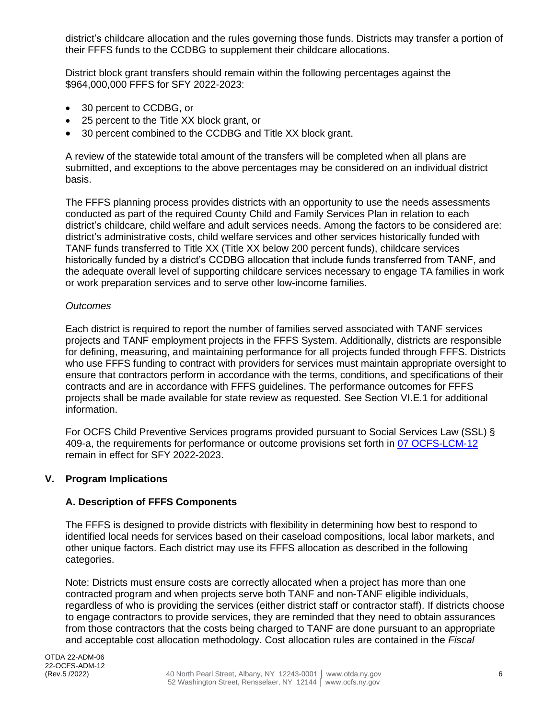district's childcare allocation and the rules governing those funds. Districts may transfer a portion of their FFFS funds to the CCDBG to supplement their childcare allocations.

District block grant transfers should remain within the following percentages against the \$964,000,000 FFFS for SFY 2022-2023:

- 30 percent to CCDBG, or
- 25 percent to the Title XX block grant, or
- 30 percent combined to the CCDBG and Title XX block grant.

A review of the statewide total amount of the transfers will be completed when all plans are submitted, and exceptions to the above percentages may be considered on an individual district basis.

The FFFS planning process provides districts with an opportunity to use the needs assessments conducted as part of the required County Child and Family Services Plan in relation to each district's childcare, child welfare and adult services needs. Among the factors to be considered are: district's administrative costs, child welfare services and other services historically funded with TANF funds transferred to Title XX (Title XX below 200 percent funds), childcare services historically funded by a district's CCDBG allocation that include funds transferred from TANF, and the adequate overall level of supporting childcare services necessary to engage TA families in work or work preparation services and to serve other low-income families.

#### *Outcomes*

Each district is required to report the number of families served associated with TANF services projects and TANF employment projects in the FFFS System. Additionally, districts are responsible for defining, measuring, and maintaining performance for all projects funded through FFFS. Districts who use FFFS funding to contract with providers for services must maintain appropriate oversight to ensure that contractors perform in accordance with the terms, conditions, and specifications of their contracts and are in accordance with FFFS guidelines. The performance outcomes for FFFS projects shall be made available for state review as requested. See Section VI.E.1 for additional information.

For OCFS Child Preventive Services programs provided pursuant to Social Services Law (SSL) § 409-a, the requirements for performance or outcome provisions set forth in [07 OCFS-LCM-12](http://ocfs.state.nyenet/policies/external/OCFS_2007/LCMs/07-OCFS-LCM-12%20Preventive%20Services%20-%20Performance-%20or%20Outcome-Based%20Provisions.pdf) remain in effect for SFY 2022-2023.

#### **V. Program Implications**

#### **A. Description of FFFS Components**

The FFFS is designed to provide districts with flexibility in determining how best to respond to identified local needs for services based on their caseload compositions, local labor markets, and other unique factors. Each district may use its FFFS allocation as described in the following categories.

Note: Districts must ensure costs are correctly allocated when a project has more than one contracted program and when projects serve both TANF and non-TANF eligible individuals, regardless of who is providing the services (either district staff or contractor staff). If districts choose to engage contractors to provide services, they are reminded that they need to obtain assurances from those contractors that the costs being charged to TANF are done pursuant to an appropriate and acceptable cost allocation methodology. Cost allocation rules are contained in the *Fiscal*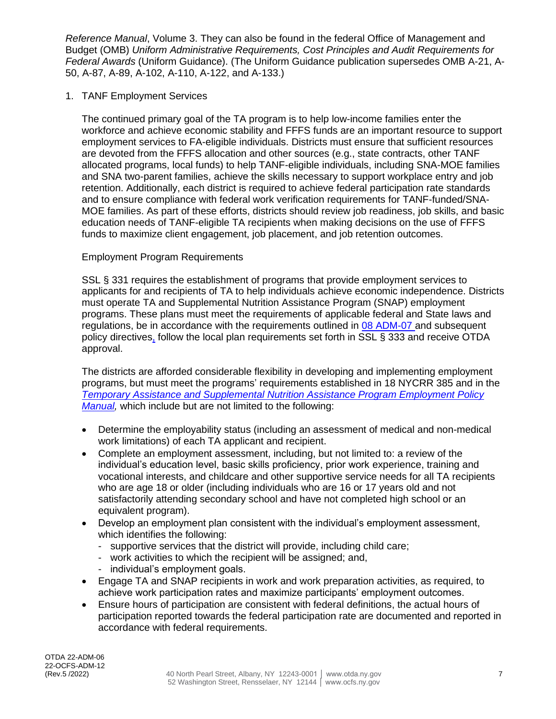*Reference Manual*, Volume 3. They can also be found in the federal Office of Management and Budget (OMB) *Uniform Administrative Requirements, Cost Principles and Audit Requirements for Federal Awards* (Uniform Guidance). (The Uniform Guidance publication supersedes OMB A-21, A-50, A-87, A-89, A-102, A-110, A-122, and A-133.)

1. TANF Employment Services

The continued primary goal of the TA program is to help low-income families enter the workforce and achieve economic stability and FFFS funds are an important resource to support employment services to FA-eligible individuals. Districts must ensure that sufficient resources are devoted from the FFFS allocation and other sources (e.g., state contracts, other TANF allocated programs, local funds) to help TANF-eligible individuals, including SNA-MOE families and SNA two-parent families, achieve the skills necessary to support workplace entry and job retention. Additionally, each district is required to achieve federal participation rate standards and to ensure compliance with federal work verification requirements for TANF-funded/SNA-MOE families. As part of these efforts, districts should review job readiness, job skills, and basic education needs of TANF-eligible TA recipients when making decisions on the use of FFFS funds to maximize client engagement, job placement, and job retention outcomes.

## Employment Program Requirements

SSL § 331 requires the establishment of programs that provide employment services to applicants for and recipients of TA to help individuals achieve economic independence. Districts must operate TA and Supplemental Nutrition Assistance Program (SNAP) employment programs. These plans must meet the requirements of applicable federal and State laws and regulations, be in accordance with the requirements outlined in [08 ADM-07](http://otda.ny.gov/policy/directives/2008/ADM/08-ADM-07.pdf) and subsequent policy directives, follow the local plan requirements set forth in SSL § 333 and receive OTDA approval.

The districts are afforded considerable flexibility in developing and implementing employment programs, but must meet the programs' requirements established in 18 NYCRR 385 and in the *[Temporary Assistance and Supplemental Nutrition Assistance Program Employment Policy](https://otda.ny.gov/resources/employment-manual/employmentmanual.pdf)  [Manual,](https://otda.ny.gov/resources/employment-manual/employmentmanual.pdf)* which include but are not limited to the following:

- Determine the employability status (including an assessment of medical and non-medical work limitations) of each TA applicant and recipient.
- Complete an employment assessment, including, but not limited to: a review of the individual's education level, basic skills proficiency, prior work experience, training and vocational interests, and childcare and other supportive service needs for all TA recipients who are age 18 or older (including individuals who are 16 or 17 years old and not satisfactorily attending secondary school and have not completed high school or an equivalent program).
- Develop an employment plan consistent with the individual's employment assessment, which identifies the following:
	- supportive services that the district will provide, including child care;
	- work activities to which the recipient will be assigned; and,
	- individual's employment goals.
- Engage TA and SNAP recipients in work and work preparation activities, as required, to achieve work participation rates and maximize participants' employment outcomes.
- Ensure hours of participation are consistent with federal definitions, the actual hours of participation reported towards the federal participation rate are documented and reported in accordance with federal requirements.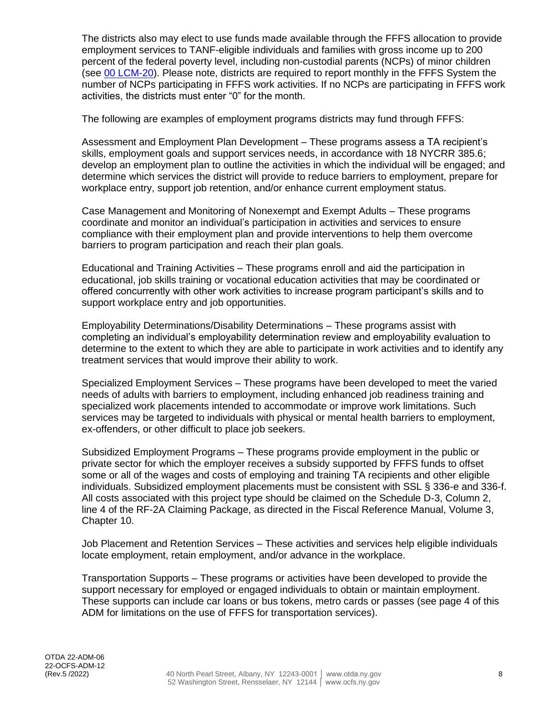The districts also may elect to use funds made available through the FFFS allocation to provide employment services to TANF-eligible individuals and families with gross income up to 200 percent of the federal poverty level, including non-custodial parents (NCPs) of minor children (see [00 LCM-20\)](http://otda.ny.gov/policy/directives/2000/LCM/00_LCM-20.pdf). Please note, districts are required to report monthly in the FFFS System the number of NCPs participating in FFFS work activities. If no NCPs are participating in FFFS work activities, the districts must enter "0" for the month.

The following are examples of employment programs districts may fund through FFFS:

Assessment and Employment Plan Development – These programs assess a TA recipient's skills, employment goals and support services needs, in accordance with 18 NYCRR 385.6; develop an employment plan to outline the activities in which the individual will be engaged; and determine which services the district will provide to reduce barriers to employment, prepare for workplace entry, support job retention, and/or enhance current employment status.

Case Management and Monitoring of Nonexempt and Exempt Adults – These programs coordinate and monitor an individual's participation in activities and services to ensure compliance with their employment plan and provide interventions to help them overcome barriers to program participation and reach their plan goals.

Educational and Training Activities – These programs enroll and aid the participation in educational, job skills training or vocational education activities that may be coordinated or offered concurrently with other work activities to increase program participant's skills and to support workplace entry and job opportunities.

Employability Determinations/Disability Determinations – These programs assist with completing an individual's employability determination review and employability evaluation to determine to the extent to which they are able to participate in work activities and to identify any treatment services that would improve their ability to work.

Specialized Employment Services – These programs have been developed to meet the varied needs of adults with barriers to employment, including enhanced job readiness training and specialized work placements intended to accommodate or improve work limitations. Such services may be targeted to individuals with physical or mental health barriers to employment, ex-offenders, or other difficult to place job seekers.

Subsidized Employment Programs – These programs provide employment in the public or private sector for which the employer receives a subsidy supported by FFFS funds to offset some or all of the wages and costs of employing and training TA recipients and other eligible individuals. Subsidized employment placements must be consistent with SSL § 336-e and 336-f. All costs associated with this project type should be claimed on the Schedule D-3, Column 2, line 4 of the RF-2A Claiming Package, as directed in the Fiscal Reference Manual, Volume 3, Chapter 10.

Job Placement and Retention Services – These activities and services help eligible individuals locate employment, retain employment, and/or advance in the workplace.

Transportation Supports – These programs or activities have been developed to provide the support necessary for employed or engaged individuals to obtain or maintain employment. These supports can include car loans or bus tokens, metro cards or passes (see page 4 of this ADM for limitations on the use of FFFS for transportation services).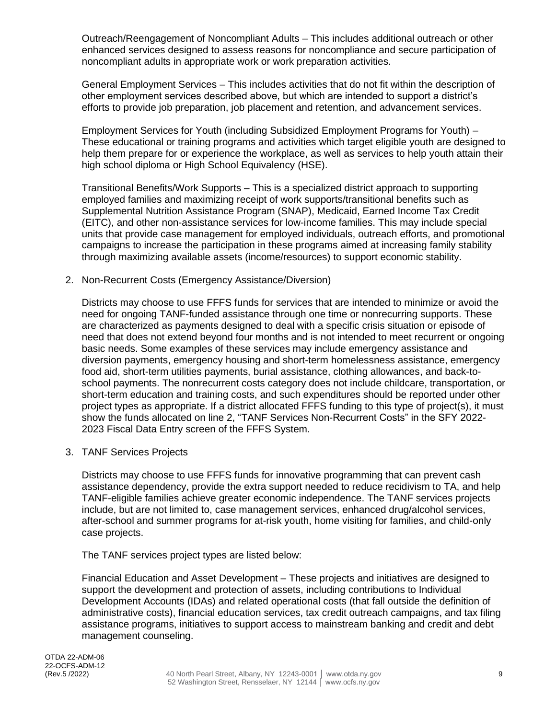Outreach/Reengagement of Noncompliant Adults – This includes additional outreach or other enhanced services designed to assess reasons for noncompliance and secure participation of noncompliant adults in appropriate work or work preparation activities.

General Employment Services – This includes activities that do not fit within the description of other employment services described above, but which are intended to support a district's efforts to provide job preparation, job placement and retention, and advancement services.

Employment Services for Youth (including Subsidized Employment Programs for Youth) – These educational or training programs and activities which target eligible youth are designed to help them prepare for or experience the workplace, as well as services to help youth attain their high school diploma or High School Equivalency (HSE).

Transitional Benefits/Work Supports – This is a specialized district approach to supporting employed families and maximizing receipt of work supports/transitional benefits such as Supplemental Nutrition Assistance Program (SNAP), Medicaid, Earned Income Tax Credit (EITC), and other non-assistance services for low-income families. This may include special units that provide case management for employed individuals, outreach efforts, and promotional campaigns to increase the participation in these programs aimed at increasing family stability through maximizing available assets (income/resources) to support economic stability.

2. Non-Recurrent Costs (Emergency Assistance/Diversion)

Districts may choose to use FFFS funds for services that are intended to minimize or avoid the need for ongoing TANF-funded assistance through one time or nonrecurring supports. These are characterized as payments designed to deal with a specific crisis situation or episode of need that does not extend beyond four months and is not intended to meet recurrent or ongoing basic needs. Some examples of these services may include emergency assistance and diversion payments, emergency housing and short-term homelessness assistance, emergency food aid, short-term utilities payments, burial assistance, clothing allowances, and back-toschool payments. The nonrecurrent costs category does not include childcare, transportation, or short-term education and training costs, and such expenditures should be reported under other project types as appropriate. If a district allocated FFFS funding to this type of project(s), it must show the funds allocated on line 2, "TANF Services Non-Recurrent Costs" in the SFY 2022- 2023 Fiscal Data Entry screen of the FFFS System.

3. TANF Services Projects

Districts may choose to use FFFS funds for innovative programming that can prevent cash assistance dependency, provide the extra support needed to reduce recidivism to TA, and help TANF-eligible families achieve greater economic independence. The TANF services projects include, but are not limited to, case management services, enhanced drug/alcohol services, after-school and summer programs for at-risk youth, home visiting for families, and child-only case projects.

The TANF services project types are listed below:

Financial Education and Asset Development – These projects and initiatives are designed to support the development and protection of assets, including contributions to Individual Development Accounts (IDAs) and related operational costs (that fall outside the definition of administrative costs), financial education services, tax credit outreach campaigns, and tax filing assistance programs, initiatives to support access to mainstream banking and credit and debt management counseling.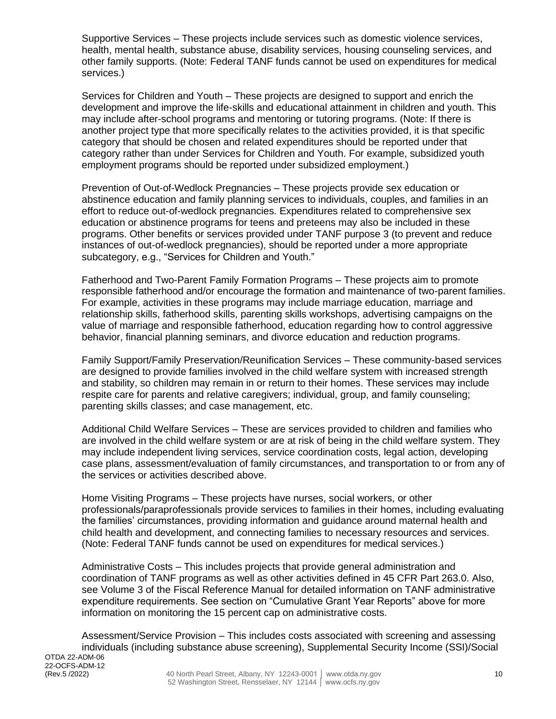Supportive Services – These projects include services such as domestic violence services, health, mental health, substance abuse, disability services, housing counseling services, and other family supports. (Note: Federal TANF funds cannot be used on expenditures for medical services.)

Services for Children and Youth – These projects are designed to support and enrich the development and improve the life-skills and educational attainment in children and youth. This may include after-school programs and mentoring or tutoring programs. (Note: If there is another project type that more specifically relates to the activities provided, it is that specific category that should be chosen and related expenditures should be reported under that category rather than under Services for Children and Youth. For example, subsidized youth employment programs should be reported under subsidized employment.)

Prevention of Out-of-Wedlock Pregnancies – These projects provide sex education or abstinence education and family planning services to individuals, couples, and families in an effort to reduce out-of-wedlock pregnancies. Expenditures related to comprehensive sex education or abstinence programs for teens and preteens may also be included in these programs. Other benefits or services provided under TANF purpose 3 (to prevent and reduce instances of out-of-wedlock pregnancies), should be reported under a more appropriate subcategory, e.g., "Services for Children and Youth."

Fatherhood and Two-Parent Family Formation Programs – These projects aim to promote responsible fatherhood and/or encourage the formation and maintenance of two-parent families. For example, activities in these programs may include marriage education, marriage and relationship skills, fatherhood skills, parenting skills workshops, advertising campaigns on the value of marriage and responsible fatherhood, education regarding how to control aggressive behavior, financial planning seminars, and divorce education and reduction programs.

Family Support/Family Preservation/Reunification Services – These community-based services are designed to provide families involved in the child welfare system with increased strength and stability, so children may remain in or return to their homes. These services may include respite care for parents and relative caregivers; individual, group, and family counseling; parenting skills classes; and case management, etc.

Additional Child Welfare Services – These are services provided to children and families who are involved in the child welfare system or are at risk of being in the child welfare system. They may include independent living services, service coordination costs, legal action, developing case plans, assessment/evaluation of family circumstances, and transportation to or from any of the services or activities described above.

Home Visiting Programs – These projects have nurses, social workers, or other professionals/paraprofessionals provide services to families in their homes, including evaluating the families' circumstances, providing information and guidance around maternal health and child health and development, and connecting families to necessary resources and services. (Note: Federal TANF funds cannot be used on expenditures for medical services.)

Administrative Costs – This includes projects that provide general administration and coordination of TANF programs as well as other activities defined in 45 CFR Part 263.0. Also, see Volume 3 of the Fiscal Reference Manual for detailed information on TANF administrative expenditure requirements. See section on "Cumulative Grant Year Reports" above for more information on monitoring the 15 percent cap on administrative costs.

Assessment/Service Provision – This includes costs associated with screening and assessing individuals (including substance abuse screening), Supplemental Security Income (SSI)/Social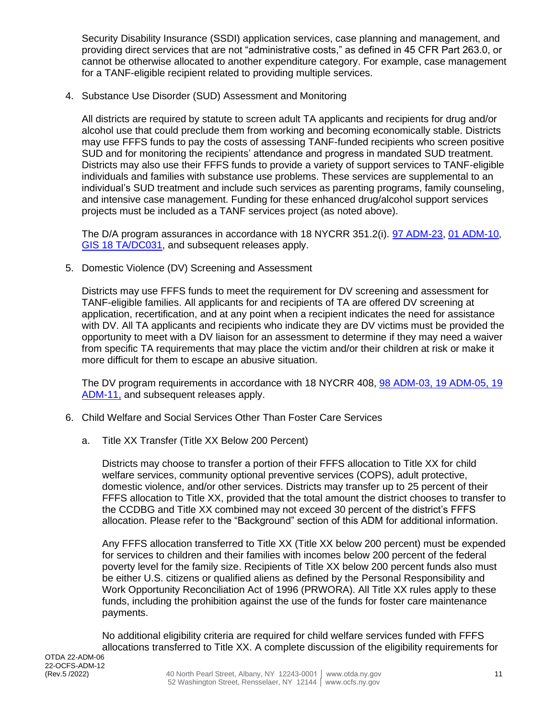Security Disability Insurance (SSDI) application services, case planning and management, and providing direct services that are not "administrative costs," as defined in 45 CFR Part 263.0, or cannot be otherwise allocated to another expenditure category. For example, case management for a TANF-eligible recipient related to providing multiple services.

4. Substance Use Disorder (SUD) Assessment and Monitoring

All districts are required by statute to screen adult TA applicants and recipients for drug and/or alcohol use that could preclude them from working and becoming economically stable. Districts may use FFFS funds to pay the costs of assessing TANF-funded recipients who screen positive SUD and for monitoring the recipients' attendance and progress in mandated SUD treatment. Districts may also use their FFFS funds to provide a variety of support services to TANF-eligible individuals and families with substance use problems. These services are supplemental to an individual's SUD treatment and include such services as parenting programs, family counseling, and intensive case management. Funding for these enhanced drug/alcohol support services projects must be included as a TANF services project (as noted above).

The D/A program assurances in accordance with 18 NYCRR 351.2(i). [97 ADM-23,](http://otda.ny.gov/policy/directives/1997/ADM/97_ADM-23.pdf) [01 ADM-10,](http://otda.ny.gov/policy/directives/2001/ADM/01_ADM-10.pdf) [GIS 18 TA/DC031,](https://otda.ny.gov/policy/gis/2018/18DC031.pdf) and subsequent releases apply.

5. Domestic Violence (DV) Screening and Assessment

Districts may use FFFS funds to meet the requirement for DV screening and assessment for TANF-eligible families. All applicants for and recipients of TA are offered DV screening at application, recertification, and at any point when a recipient indicates the need for assistance with DV. All TA applicants and recipients who indicate they are DV victims must be provided the opportunity to meet with a DV liaison for an assessment to determine if they may need a waiver from specific TA requirements that may place the victim and/or their children at risk or make it more difficult for them to escape an abusive situation.

The DV program requirements in accordance with 18 NYCRR 408, [98 ADM-03,](http://otda.ny.gov/policy/directives/1998/ADM/98_ADM-03.pdf) [19 ADM-05,](https://otda.ny.gov/policy/directives/2019/ADM/19-ADM-05.pdf) [19](https://otda.ny.gov/policy/directives/2019/ADM/19-ADM-11.pdf)  [ADM-11,](https://otda.ny.gov/policy/directives/2019/ADM/19-ADM-11.pdf) and subsequent releases apply.

- 6. Child Welfare and Social Services Other Than Foster Care Services
	- a. Title XX Transfer (Title XX Below 200 Percent)

Districts may choose to transfer a portion of their FFFS allocation to Title XX for child welfare services, community optional preventive services (COPS), adult protective, domestic violence, and/or other services. Districts may transfer up to 25 percent of their FFFS allocation to Title XX, provided that the total amount the district chooses to transfer to the CCDBG and Title XX combined may not exceed 30 percent of the district's FFFS allocation. Please refer to the "Background" section of this ADM for additional information.

Any FFFS allocation transferred to Title XX (Title XX below 200 percent) must be expended for services to children and their families with incomes below 200 percent of the federal poverty level for the family size. Recipients of Title XX below 200 percent funds also must be either U.S. citizens or qualified aliens as defined by the Personal Responsibility and Work Opportunity Reconciliation Act of 1996 (PRWORA). All Title XX rules apply to these funds, including the prohibition against the use of the funds for foster care maintenance payments.

No additional eligibility criteria are required for child welfare services funded with FFFS allocations transferred to Title XX. A complete discussion of the eligibility requirements for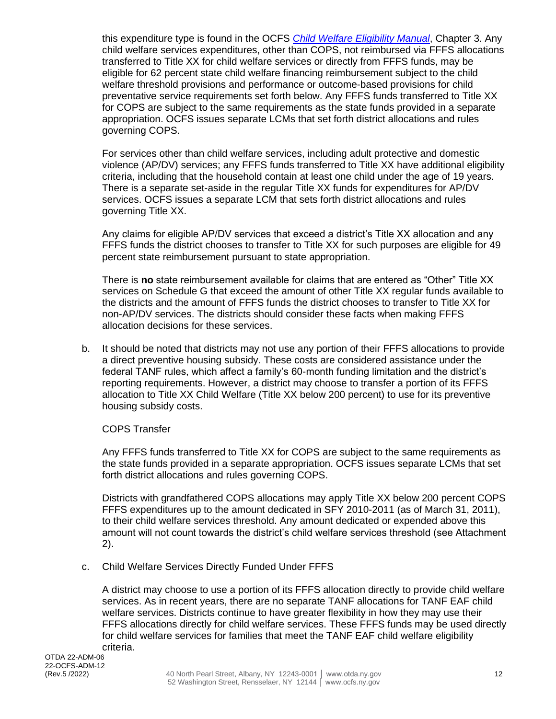this expenditure type is found in the OCFS *[Child Welfare Eligibility Manual](https://ocfs.ny.gov/main/publications/eligibility/2018-Eligibility-Manual.pdf)*, Chapter 3. Any child welfare services expenditures, other than COPS, not reimbursed via FFFS allocations transferred to Title XX for child welfare services or directly from FFFS funds, may be eligible for 62 percent state child welfare financing reimbursement subject to the child welfare threshold provisions and performance or outcome-based provisions for child preventative service requirements set forth below. Any FFFS funds transferred to Title XX for COPS are subject to the same requirements as the state funds provided in a separate appropriation. OCFS issues separate LCMs that set forth district allocations and rules governing COPS.

For services other than child welfare services, including adult protective and domestic violence (AP/DV) services; any FFFS funds transferred to Title XX have additional eligibility criteria, including that the household contain at least one child under the age of 19 years. There is a separate set-aside in the regular Title XX funds for expenditures for AP/DV services. OCFS issues a separate LCM that sets forth district allocations and rules governing Title XX.

Any claims for eligible AP/DV services that exceed a district's Title XX allocation and any FFFS funds the district chooses to transfer to Title XX for such purposes are eligible for 49 percent state reimbursement pursuant to state appropriation.

There is **no** state reimbursement available for claims that are entered as "Other" Title XX services on Schedule G that exceed the amount of other Title XX regular funds available to the districts and the amount of FFFS funds the district chooses to transfer to Title XX for non-AP/DV services. The districts should consider these facts when making FFFS allocation decisions for these services.

b. It should be noted that districts may not use any portion of their FFFS allocations to provide a direct preventive housing subsidy. These costs are considered assistance under the federal TANF rules, which affect a family's 60-month funding limitation and the district's reporting requirements. However, a district may choose to transfer a portion of its FFFS allocation to Title XX Child Welfare (Title XX below 200 percent) to use for its preventive housing subsidy costs.

#### COPS Transfer

Any FFFS funds transferred to Title XX for COPS are subject to the same requirements as the state funds provided in a separate appropriation. OCFS issues separate LCMs that set forth district allocations and rules governing COPS.

Districts with grandfathered COPS allocations may apply Title XX below 200 percent COPS FFFS expenditures up to the amount dedicated in SFY 2010-2011 (as of March 31, 2011), to their child welfare services threshold. Any amount dedicated or expended above this amount will not count towards the district's child welfare services threshold (see Attachment 2).

c. Child Welfare Services Directly Funded Under FFFS

A district may choose to use a portion of its FFFS allocation directly to provide child welfare services. As in recent years, there are no separate TANF allocations for TANF EAF child welfare services. Districts continue to have greater flexibility in how they may use their FFFS allocations directly for child welfare services. These FFFS funds may be used directly for child welfare services for families that meet the TANF EAF child welfare eligibility criteria.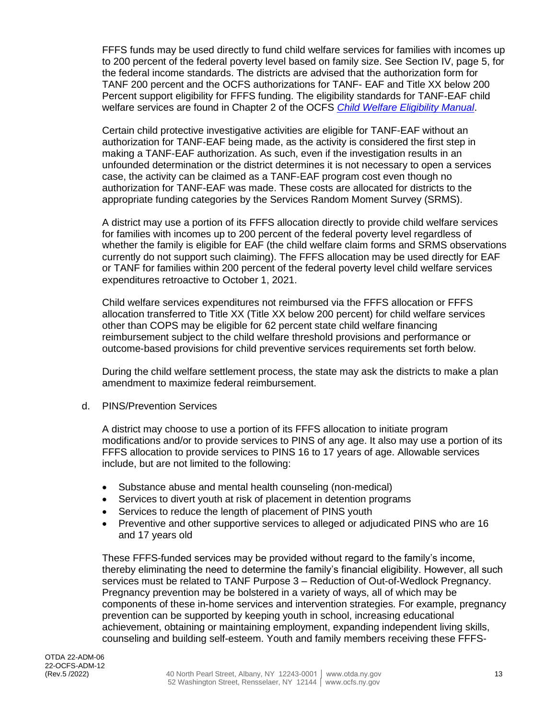FFFS funds may be used directly to fund child welfare services for families with incomes up to 200 percent of the federal poverty level based on family size. See Section IV, page 5, for the federal income standards. The districts are advised that the authorization form for TANF 200 percent and the OCFS authorizations for TANF- EAF and Title XX below 200 Percent support eligibility for FFFS funding. The eligibility standards for TANF-EAF child welfare services are found in Chapter 2 of the OCFS *[Child Welfare Eligibility Manual](https://ocfs.ny.gov/main/publications/eligibility/2018-Eligibility-Manual.pdf)*.

Certain child protective investigative activities are eligible for TANF-EAF without an authorization for TANF-EAF being made, as the activity is considered the first step in making a TANF-EAF authorization. As such, even if the investigation results in an unfounded determination or the district determines it is not necessary to open a services case, the activity can be claimed as a TANF-EAF program cost even though no authorization for TANF-EAF was made. These costs are allocated for districts to the appropriate funding categories by the Services Random Moment Survey (SRMS).

A district may use a portion of its FFFS allocation directly to provide child welfare services for families with incomes up to 200 percent of the federal poverty level regardless of whether the family is eligible for EAF (the child welfare claim forms and SRMS observations currently do not support such claiming). The FFFS allocation may be used directly for EAF or TANF for families within 200 percent of the federal poverty level child welfare services expenditures retroactive to October 1, 2021.

Child welfare services expenditures not reimbursed via the FFFS allocation or FFFS allocation transferred to Title XX (Title XX below 200 percent) for child welfare services other than COPS may be eligible for 62 percent state child welfare financing reimbursement subject to the child welfare threshold provisions and performance or outcome-based provisions for child preventive services requirements set forth below.

During the child welfare settlement process, the state may ask the districts to make a plan amendment to maximize federal reimbursement.

d. PINS/Prevention Services

A district may choose to use a portion of its FFFS allocation to initiate program modifications and/or to provide services to PINS of any age. It also may use a portion of its FFFS allocation to provide services to PINS 16 to 17 years of age. Allowable services include, but are not limited to the following:

- Substance abuse and mental health counseling (non-medical)
- Services to divert youth at risk of placement in detention programs
- Services to reduce the length of placement of PINS youth
- Preventive and other supportive services to alleged or adjudicated PINS who are 16 and 17 years old

These FFFS-funded services may be provided without regard to the family's income, thereby eliminating the need to determine the family's financial eligibility. However, all such services must be related to TANF Purpose 3 – Reduction of Out-of-Wedlock Pregnancy. Pregnancy prevention may be bolstered in a variety of ways, all of which may be components of these in-home services and intervention strategies. For example, pregnancy prevention can be supported by keeping youth in school, increasing educational achievement, obtaining or maintaining employment, expanding independent living skills, counseling and building self-esteem. Youth and family members receiving these FFFS-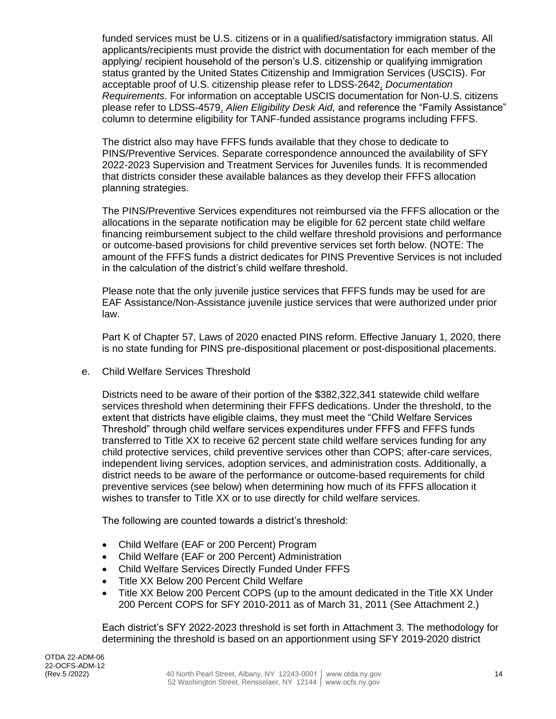funded services must be U.S. citizens or in a qualified/satisfactory immigration status. All applicants/recipients must provide the district with documentation for each member of the applying/ recipient household of the person's U.S. citizenship or qualifying immigration status granted by the United States Citizenship and Immigration Services (USCIS). For acceptable proof of U.S. citizenship please refer to LDSS-2642, *Documentation Requirements*. For information on acceptable USCIS documentation for Non-U.S. citizens please refer to LDSS-4579, *Alien Eligibility Desk Aid,* and reference the "Family Assistance" column to determine eligibility for TANF-funded assistance programs including FFFS.

The district also may have FFFS funds available that they chose to dedicate to PINS/Preventive Services. Separate correspondence announced the availability of SFY 2022-2023 Supervision and Treatment Services for Juveniles funds. It is recommended that districts consider these available balances as they develop their FFFS allocation planning strategies.

The PINS/Preventive Services expenditures not reimbursed via the FFFS allocation or the allocations in the separate notification may be eligible for 62 percent state child welfare financing reimbursement subject to the child welfare threshold provisions and performance or outcome-based provisions for child preventive services set forth below. (NOTE: The amount of the FFFS funds a district dedicates for PINS Preventive Services is not included in the calculation of the district's child welfare threshold.

Please note that the only juvenile justice services that FFFS funds may be used for are EAF Assistance/Non-Assistance juvenile justice services that were authorized under prior law.

Part K of Chapter 57, Laws of 2020 enacted PINS reform. Effective January 1, 2020, there is no state funding for PINS pre-dispositional placement or post-dispositional placements.

e. Child Welfare Services Threshold

Districts need to be aware of their portion of the \$382,322,341 statewide child welfare services threshold when determining their FFFS dedications. Under the threshold, to the extent that districts have eligible claims, they must meet the "Child Welfare Services Threshold" through child welfare services expenditures under FFFS and FFFS funds transferred to Title XX to receive 62 percent state child welfare services funding for any child protective services, child preventive services other than COPS; after-care services, independent living services, adoption services, and administration costs. Additionally, a district needs to be aware of the performance or outcome-based requirements for child preventive services (see below) when determining how much of its FFFS allocation it wishes to transfer to Title XX or to use directly for child welfare services.

The following are counted towards a district's threshold:

- Child Welfare (EAF or 200 Percent) Program
- Child Welfare (EAF or 200 Percent) Administration
- Child Welfare Services Directly Funded Under FFFS
- Title XX Below 200 Percent Child Welfare
- Title XX Below 200 Percent COPS (up to the amount dedicated in the Title XX Under 200 Percent COPS for SFY 2010-2011 as of March 31, 2011 (See Attachment 2.)

Each district's SFY 2022-2023 threshold is set forth in Attachment 3. The methodology for determining the threshold is based on an apportionment using SFY 2019-2020 district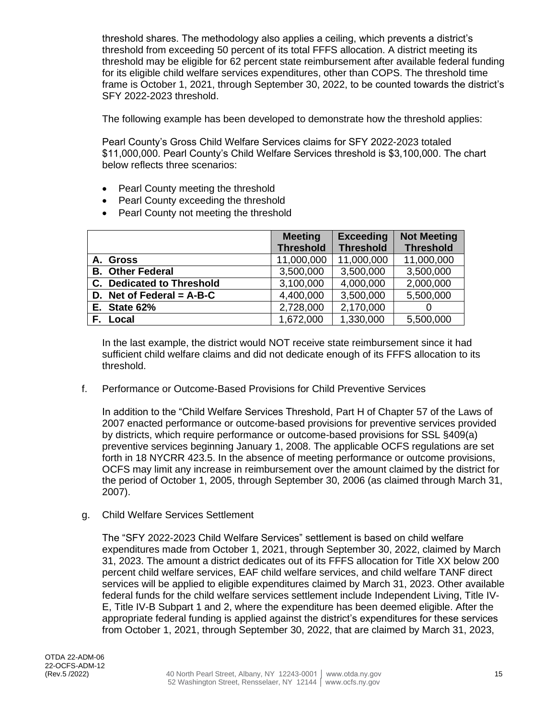threshold shares. The methodology also applies a ceiling, which prevents a district's threshold from exceeding 50 percent of its total FFFS allocation. A district meeting its threshold may be eligible for 62 percent state reimbursement after available federal funding for its eligible child welfare services expenditures, other than COPS. The threshold time frame is October 1, 2021, through September 30, 2022, to be counted towards the district's SFY 2022-2023 threshold.

The following example has been developed to demonstrate how the threshold applies:

Pearl County's Gross Child Welfare Services claims for SFY 2022-2023 totaled \$11,000,000. Pearl County's Child Welfare Services threshold is \$3,100,000. The chart below reflects three scenarios:

- Pearl County meeting the threshold
- Pearl County exceeding the threshold
- Pearl County not meeting the threshold

|                                  | <b>Meeting</b>   | <b>Exceeding</b> | <b>Not Meeting</b> |
|----------------------------------|------------------|------------------|--------------------|
|                                  | <b>Threshold</b> | <b>Threshold</b> | <b>Threshold</b>   |
| A. Gross                         | 11,000,000       | 11,000,000       | 11,000,000         |
| <b>B. Other Federal</b>          | 3,500,000        | 3,500,000        | 3,500,000          |
| <b>C.</b> Dedicated to Threshold | 3,100,000        | 4,000,000        | 2,000,000          |
| D. Net of Federal = $A-B-C$      | 4,400,000        | 3,500,000        | 5,500,000          |
| <b>E.</b> State 62%              | 2,728,000        | 2,170,000        | 0                  |
| Local                            | 1,672,000        | 1,330,000        | 5,500,000          |

In the last example, the district would NOT receive state reimbursement since it had sufficient child welfare claims and did not dedicate enough of its FFFS allocation to its threshold.

f. Performance or Outcome-Based Provisions for Child Preventive Services

In addition to the "Child Welfare Services Threshold, Part H of Chapter 57 of the Laws of 2007 enacted performance or outcome-based provisions for preventive services provided by districts, which require performance or outcome-based provisions for SSL §409(a) preventive services beginning January 1, 2008. The applicable OCFS regulations are set forth in 18 NYCRR 423.5. In the absence of meeting performance or outcome provisions, OCFS may limit any increase in reimbursement over the amount claimed by the district for the period of October 1, 2005, through September 30, 2006 (as claimed through March 31, 2007).

g. Child Welfare Services Settlement

The "SFY 2022-2023 Child Welfare Services" settlement is based on child welfare expenditures made from October 1, 2021, through September 30, 2022, claimed by March 31, 2023. The amount a district dedicates out of its FFFS allocation for Title XX below 200 percent child welfare services, EAF child welfare services, and child welfare TANF direct services will be applied to eligible expenditures claimed by March 31, 2023. Other available federal funds for the child welfare services settlement include Independent Living, Title IV-E, Title IV-B Subpart 1 and 2, where the expenditure has been deemed eligible. After the appropriate federal funding is applied against the district's expenditures for these services from October 1, 2021, through September 30, 2022, that are claimed by March 31, 2023,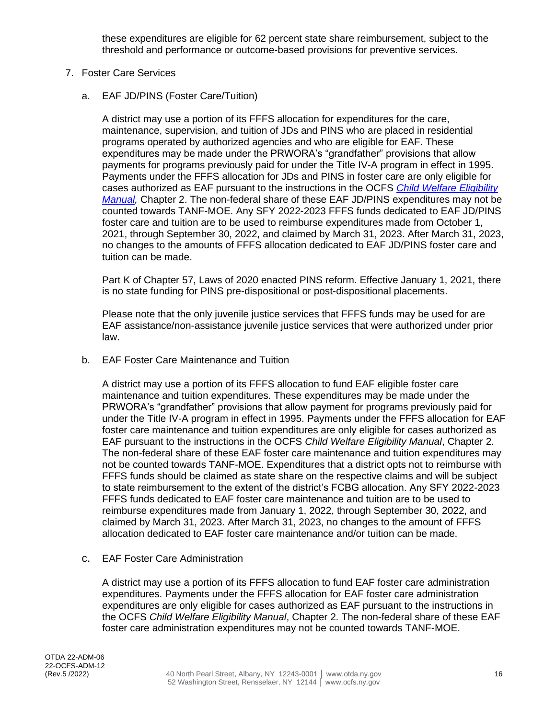these expenditures are eligible for 62 percent state share reimbursement, subject to the threshold and performance or outcome-based provisions for preventive services.

- 7. Foster Care Services
	- a. EAF JD/PINS (Foster Care/Tuition)

A district may use a portion of its FFFS allocation for expenditures for the care, maintenance, supervision, and tuition of JDs and PINS who are placed in residential programs operated by authorized agencies and who are eligible for EAF. These expenditures may be made under the PRWORA's "grandfather" provisions that allow payments for programs previously paid for under the Title IV-A program in effect in 1995. Payments under the FFFS allocation for JDs and PINS in foster care are only eligible for cases authorized as EAF pursuant to the instructions in the OCFS *[Child Welfare Eligibility](https://ocfs.ny.gov/main/publications/eligibility/2018-Eligibility-Manual.pdf)  [Manual,](https://ocfs.ny.gov/main/publications/eligibility/2018-Eligibility-Manual.pdf)* Chapter 2. The non-federal share of these EAF JD/PINS expenditures may not be counted towards TANF-MOE. Any SFY 2022-2023 FFFS funds dedicated to EAF JD/PINS foster care and tuition are to be used to reimburse expenditures made from October 1, 2021, through September 30, 2022, and claimed by March 31, 2023. After March 31, 2023, no changes to the amounts of FFFS allocation dedicated to EAF JD/PINS foster care and tuition can be made.

Part K of Chapter 57, Laws of 2020 enacted PINS reform. Effective January 1, 2021, there is no state funding for PINS pre-dispositional or post-dispositional placements.

Please note that the only juvenile justice services that FFFS funds may be used for are EAF assistance/non-assistance juvenile justice services that were authorized under prior law.

b. EAF Foster Care Maintenance and Tuition

A district may use a portion of its FFFS allocation to fund EAF eligible foster care maintenance and tuition expenditures. These expenditures may be made under the PRWORA's "grandfather" provisions that allow payment for programs previously paid for under the Title IV-A program in effect in 1995. Payments under the FFFS allocation for EAF foster care maintenance and tuition expenditures are only eligible for cases authorized as EAF pursuant to the instructions in the OCFS *Child Welfare Eligibility Manual*, Chapter 2. The non-federal share of these EAF foster care maintenance and tuition expenditures may not be counted towards TANF-MOE. Expenditures that a district opts not to reimburse with FFFS funds should be claimed as state share on the respective claims and will be subject to state reimbursement to the extent of the district's FCBG allocation. Any SFY 2022-2023 FFFS funds dedicated to EAF foster care maintenance and tuition are to be used to reimburse expenditures made from January 1, 2022, through September 30, 2022, and claimed by March 31, 2023. After March 31, 2023, no changes to the amount of FFFS allocation dedicated to EAF foster care maintenance and/or tuition can be made.

c. EAF Foster Care Administration

A district may use a portion of its FFFS allocation to fund EAF foster care administration expenditures. Payments under the FFFS allocation for EAF foster care administration expenditures are only eligible for cases authorized as EAF pursuant to the instructions in the OCFS *Child Welfare Eligibility Manual*, Chapter 2. The non-federal share of these EAF foster care administration expenditures may not be counted towards TANF-MOE.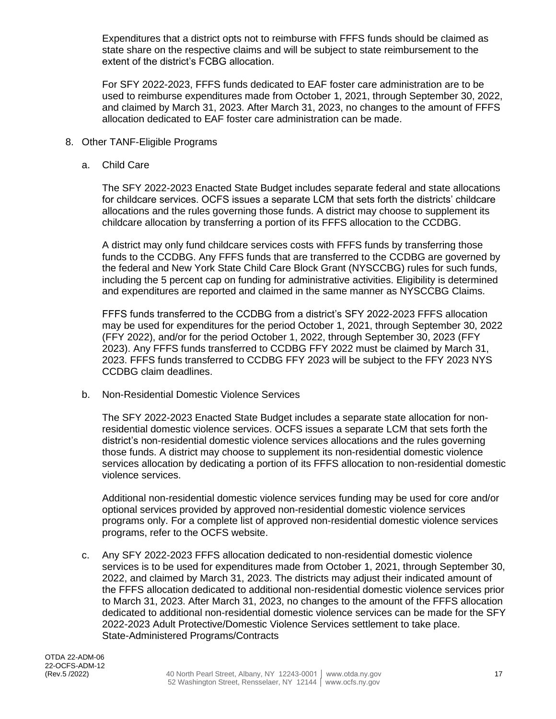Expenditures that a district opts not to reimburse with FFFS funds should be claimed as state share on the respective claims and will be subject to state reimbursement to the extent of the district's FCBG allocation.

For SFY 2022-2023, FFFS funds dedicated to EAF foster care administration are to be used to reimburse expenditures made from October 1, 2021, through September 30, 2022, and claimed by March 31, 2023. After March 31, 2023, no changes to the amount of FFFS allocation dedicated to EAF foster care administration can be made.

- 8. Other TANF-Eligible Programs
	- a. Child Care

The SFY 2022-2023 Enacted State Budget includes separate federal and state allocations for childcare services. OCFS issues a separate LCM that sets forth the districts' childcare allocations and the rules governing those funds. A district may choose to supplement its childcare allocation by transferring a portion of its FFFS allocation to the CCDBG.

A district may only fund childcare services costs with FFFS funds by transferring those funds to the CCDBG. Any FFFS funds that are transferred to the CCDBG are governed by the federal and New York State Child Care Block Grant (NYSCCBG) rules for such funds, including the 5 percent cap on funding for administrative activities. Eligibility is determined and expenditures are reported and claimed in the same manner as NYSCCBG Claims.

FFFS funds transferred to the CCDBG from a district's SFY 2022-2023 FFFS allocation may be used for expenditures for the period October 1, 2021, through September 30, 2022 (FFY 2022), and/or for the period October 1, 2022, through September 30, 2023 (FFY 2023). Any FFFS funds transferred to CCDBG FFY 2022 must be claimed by March 31, 2023. FFFS funds transferred to CCDBG FFY 2023 will be subject to the FFY 2023 NYS CCDBG claim deadlines.

b. Non-Residential Domestic Violence Services

The SFY 2022-2023 Enacted State Budget includes a separate state allocation for nonresidential domestic violence services. OCFS issues a separate LCM that sets forth the district's non-residential domestic violence services allocations and the rules governing those funds. A district may choose to supplement its non-residential domestic violence services allocation by dedicating a portion of its FFFS allocation to non-residential domestic violence services.

Additional non-residential domestic violence services funding may be used for core and/or optional services provided by approved non-residential domestic violence services programs only. For a [complete list](https://ocfs.ny.gov/main/dv/) of approved non-residential domestic violence services programs, refer to the OCFS website.

c. Any SFY 2022-2023 FFFS allocation dedicated to non-residential domestic violence services is to be used for expenditures made from October 1, 2021, through September 30, 2022, and claimed by March 31, 2023. The districts may adjust their indicated amount of the FFFS allocation dedicated to additional non-residential domestic violence services prior to March 31, 2023. After March 31, 2023, no changes to the amount of the FFFS allocation dedicated to additional non-residential domestic violence services can be made for the SFY 2022-2023 Adult Protective/Domestic Violence Services settlement to take place. State-Administered Programs/Contracts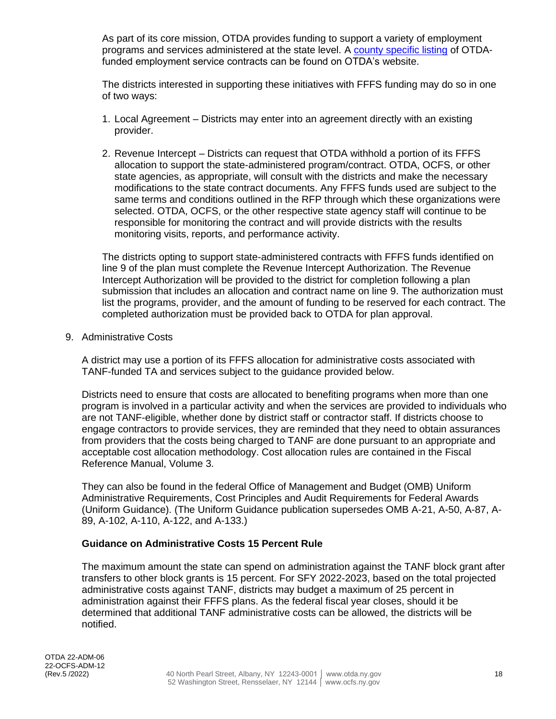As part of its core mission, OTDA provides funding to support a variety of employment programs and services administered at the state level. A [county specific listing](https://otda.ny.gov/resources/employment-training-contractors/) of OTDAfunded employment service contracts can be found on OTDA's website.

The districts interested in supporting these initiatives with FFFS funding may do so in one of two ways:

- 1. Local Agreement Districts may enter into an agreement directly with an existing provider.
- 2. Revenue Intercept Districts can request that OTDA withhold a portion of its FFFS allocation to support the state-administered program/contract. OTDA, OCFS, or other state agencies, as appropriate, will consult with the districts and make the necessary modifications to the state contract documents. Any FFFS funds used are subject to the same terms and conditions outlined in the RFP through which these organizations were selected. OTDA, OCFS, or the other respective state agency staff will continue to be responsible for monitoring the contract and will provide districts with the results monitoring visits, reports, and performance activity.

The districts opting to support state-administered contracts with FFFS funds identified on line 9 of the plan must complete the Revenue Intercept Authorization. The Revenue Intercept Authorization will be provided to the district for completion following a plan submission that includes an allocation and contract name on line 9. The authorization must list the programs, provider, and the amount of funding to be reserved for each contract. The completed authorization must be provided back to OTDA for plan approval.

9. Administrative Costs

A district may use a portion of its FFFS allocation for administrative costs associated with TANF-funded TA and services subject to the guidance provided below.

Districts need to ensure that costs are allocated to benefiting programs when more than one program is involved in a particular activity and when the services are provided to individuals who are not TANF-eligible, whether done by district staff or contractor staff. If districts choose to engage contractors to provide services, they are reminded that they need to obtain assurances from providers that the costs being charged to TANF are done pursuant to an appropriate and acceptable cost allocation methodology. Cost allocation rules are contained in the Fiscal Reference Manual, Volume 3.

They can also be found in the federal Office of Management and Budget (OMB) Uniform Administrative Requirements, Cost Principles and Audit Requirements for Federal Awards (Uniform Guidance). (The Uniform Guidance publication supersedes OMB A-21, A-50, A-87, A-89, A-102, A-110, A-122, and A-133.)

#### **Guidance on Administrative Costs 15 Percent Rule**

The maximum amount the state can spend on administration against the TANF block grant after transfers to other block grants is 15 percent. For SFY 2022-2023, based on the total projected administrative costs against TANF, districts may budget a maximum of 25 percent in administration against their FFFS plans. As the federal fiscal year closes, should it be determined that additional TANF administrative costs can be allowed, the districts will be notified.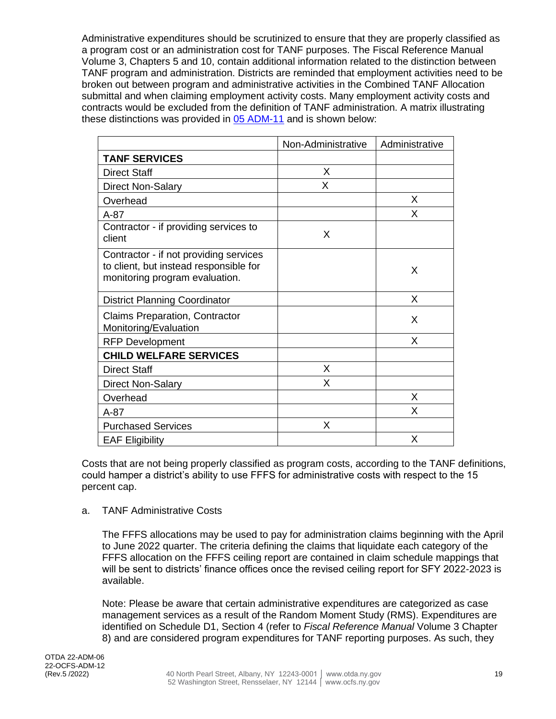Administrative expenditures should be scrutinized to ensure that they are properly classified as a program cost or an administration cost for TANF purposes. The Fiscal Reference Manual Volume 3, Chapters 5 and 10, contain additional information related to the distinction between TANF program and administration. Districts are reminded that employment activities need to be broken out between program and administrative activities in the Combined TANF Allocation submittal and when claiming employment activity costs. Many employment activity costs and contracts would be excluded from the definition of TANF administration. A matrix illustrating these distinctions was provided in [05 ADM-11](https://otda.ny.gov/policy/directives/2005/ADM/05-ADM-11.pdf) and is shown below:

|                                                                                                                    | Non-Administrative | Administrative |
|--------------------------------------------------------------------------------------------------------------------|--------------------|----------------|
| <b>TANF SERVICES</b>                                                                                               |                    |                |
| <b>Direct Staff</b>                                                                                                | X                  |                |
| <b>Direct Non-Salary</b>                                                                                           | X                  |                |
| Overhead                                                                                                           |                    | X              |
| $A-87$                                                                                                             |                    | X              |
| Contractor - if providing services to<br>client                                                                    | X                  |                |
| Contractor - if not providing services<br>to client, but instead responsible for<br>monitoring program evaluation. |                    | X              |
| <b>District Planning Coordinator</b>                                                                               |                    | X              |
| <b>Claims Preparation, Contractor</b><br>Monitoring/Evaluation                                                     |                    | X              |
| <b>RFP Development</b>                                                                                             |                    | X              |
| <b>CHILD WELFARE SERVICES</b>                                                                                      |                    |                |
| <b>Direct Staff</b>                                                                                                | X                  |                |
| <b>Direct Non-Salary</b>                                                                                           | X                  |                |
| Overhead                                                                                                           |                    | X              |
| $A-87$                                                                                                             |                    | X              |
| <b>Purchased Services</b>                                                                                          | X                  |                |
| <b>EAF Eligibility</b>                                                                                             |                    | X              |

Costs that are not being properly classified as program costs, according to the TANF definitions, could hamper a district's ability to use FFFS for administrative costs with respect to the 15 percent cap.

#### a. TANF Administrative Costs

The FFFS allocations may be used to pay for administration claims beginning with the April to June 2022 quarter. The criteria defining the claims that liquidate each category of the FFFS allocation on the FFFS ceiling report are contained in claim schedule mappings that will be sent to districts' finance offices once the revised ceiling report for SFY 2022-2023 is available.

Note: Please be aware that certain administrative expenditures are categorized as case management services as a result of the Random Moment Study (RMS). Expenditures are identified on Schedule D1, Section 4 (refer to *Fiscal Reference Manual* Volume 3 Chapter 8) and are considered program expenditures for TANF reporting purposes. As such, they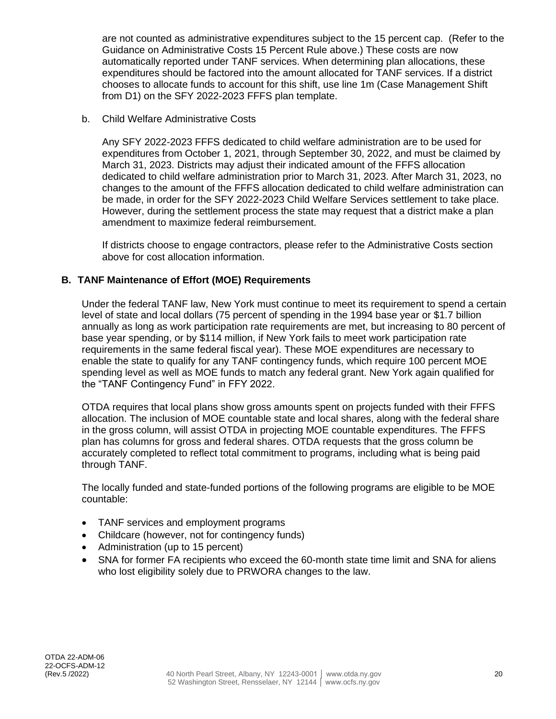are not counted as administrative expenditures subject to the 15 percent cap. (Refer to the Guidance on Administrative Costs 15 Percent Rule above.) These costs are now automatically reported under TANF services. When determining plan allocations, these expenditures should be factored into the amount allocated for TANF services. If a district chooses to allocate funds to account for this shift, use line 1m (Case Management Shift from D1) on the SFY 2022-2023 FFFS plan template.

b. Child Welfare Administrative Costs

Any SFY 2022-2023 FFFS dedicated to child welfare administration are to be used for expenditures from October 1, 2021, through September 30, 2022, and must be claimed by March 31, 2023. Districts may adjust their indicated amount of the FFFS allocation dedicated to child welfare administration prior to March 31, 2023. After March 31, 2023, no changes to the amount of the FFFS allocation dedicated to child welfare administration can be made, in order for the SFY 2022-2023 Child Welfare Services settlement to take place. However, during the settlement process the state may request that a district make a plan amendment to maximize federal reimbursement.

If districts choose to engage contractors, please refer to the Administrative Costs section above for cost allocation information.

## **B. TANF Maintenance of Effort (MOE) Requirements**

Under the federal TANF law, New York must continue to meet its requirement to spend a certain level of state and local dollars (75 percent of spending in the 1994 base year or \$1.7 billion annually as long as work participation rate requirements are met, but increasing to 80 percent of base year spending, or by \$114 million, if New York fails to meet work participation rate requirements in the same federal fiscal year). These MOE expenditures are necessary to enable the state to qualify for any TANF contingency funds, which require 100 percent MOE spending level as well as MOE funds to match any federal grant. New York again qualified for the "TANF Contingency Fund" in FFY 2022.

OTDA requires that local plans show gross amounts spent on projects funded with their FFFS allocation. The inclusion of MOE countable state and local shares, along with the federal share in the gross column, will assist OTDA in projecting MOE countable expenditures. The FFFS plan has columns for gross and federal shares. OTDA requests that the gross column be accurately completed to reflect total commitment to programs, including what is being paid through TANF.

The locally funded and state-funded portions of the following programs are eligible to be MOE countable:

- TANF services and employment programs
- Childcare (however, not for contingency funds)
- Administration (up to 15 percent)
- SNA for former FA recipients who exceed the 60-month state time limit and SNA for aliens who lost eligibility solely due to PRWORA changes to the law.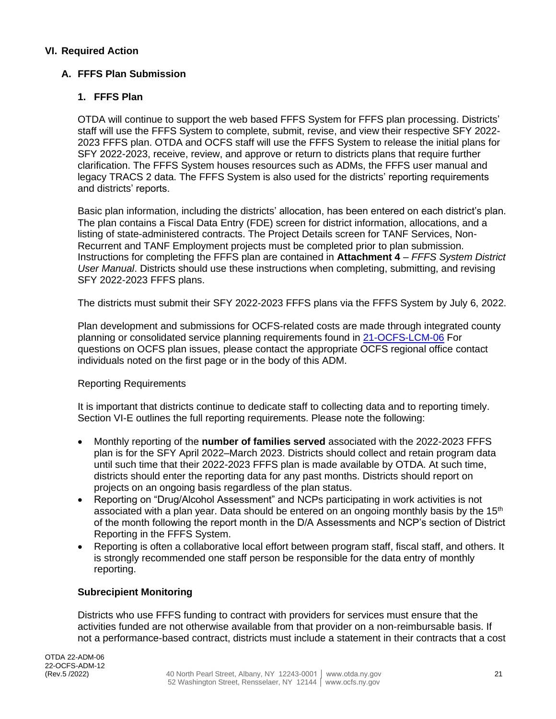#### **VI. Required Action**

### **A. FFFS Plan Submission**

#### **1. FFFS Plan**

OTDA will continue to support the web based FFFS System for FFFS plan processing. Districts' staff will use the FFFS System to complete, submit, revise, and view their respective SFY 2022- 2023 FFFS plan. OTDA and OCFS staff will use the FFFS System to release the initial plans for SFY 2022-2023, receive, review, and approve or return to districts plans that require further clarification. The FFFS System houses resources such as ADMs, the FFFS user manual and legacy TRACS 2 data. The FFFS System is also used for the districts' reporting requirements and districts' reports.

Basic plan information, including the districts' allocation, has been entered on each district's plan. The plan contains a Fiscal Data Entry (FDE) screen for district information, allocations, and a listing of state-administered contracts. The Project Details screen for TANF Services, Non-Recurrent and TANF Employment projects must be completed prior to plan submission. Instructions for completing the FFFS plan are contained in **Attachment 4** – *FFFS System District User Manual*. Districts should use these instructions when completing, submitting, and revising SFY 2022-2023 FFFS plans.

The districts must submit their SFY 2022-2023 FFFS plans via the FFFS System by July 6, 2022.

Plan development and submissions for OCFS-related costs are made through integrated county planning or consolidated service planning requirements found in [21-OCFS-LCM-06](http://www.ocfs.state.ny.us/main/policies/external/ocfs_2021/LCM/21-OCFS-LCM-06.pdf) For questions on OCFS plan issues, please contact the appropriate OCFS regional office contact individuals noted on the first page or in the body of this ADM.

#### Reporting Requirements

It is important that districts continue to dedicate staff to collecting data and to reporting timely. Section VI-E outlines the full reporting requirements. Please note the following:

- Monthly reporting of the **number of families served** associated with the 2022-2023 FFFS plan is for the SFY April 2022–March 2023. Districts should collect and retain program data until such time that their 2022-2023 FFFS plan is made available by OTDA. At such time, districts should enter the reporting data for any past months. Districts should report on projects on an ongoing basis regardless of the plan status.
- Reporting on "Drug/Alcohol Assessment" and NCPs participating in work activities is not associated with a plan year. Data should be entered on an ongoing monthly basis by the  $15<sup>th</sup>$ of the month following the report month in the D/A Assessments and NCP's section of District Reporting in the FFFS System.
- Reporting is often a collaborative local effort between program staff, fiscal staff, and others. It is strongly recommended one staff person be responsible for the data entry of monthly reporting.

#### **Subrecipient Monitoring**

Districts who use FFFS funding to contract with providers for services must ensure that the activities funded are not otherwise available from that provider on a non-reimbursable basis. If not a performance-based contract, districts must include a statement in their contracts that a cost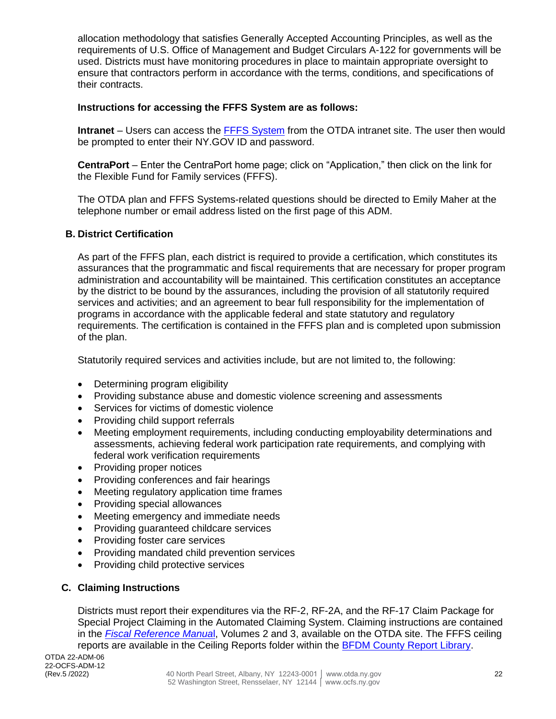allocation methodology that satisfies Generally Accepted Accounting Principles, as well as the requirements of U.S. Office of Management and Budget Circulars A-122 for governments will be used. Districts must have monitoring procedures in place to maintain appropriate oversight to ensure that contractors perform in accordance with the terms, conditions, and specifications of their contracts.

### **Instructions for accessing the FFFS System are as follows:**

**Intranet** – Users can access the [FFFS System](https://my.ny.gov/sreg/Login?TYPE=33554433&REALMOID=06-000abcb8-9406-1c92-ac40-34330a5f0000&GUID=&SMAUTHREASON=0&METHOD=GET&SMAGENTNAME=$SM$tSvn6Z1M1RMogejVUUu2a%2bElIOUTYe%2beHbGczQ2Z0CrOu9In4CNHHX24hHD5ytoD&TARGET=$SM$https%3a%2f%2ffffs%2eotda%2eny%2egov%2f) from the OTDA intranet site. The user then would be prompted to enter their NY.GOV ID and password.

**CentraPort** – Enter the CentraPort home page; click on "Application," then click on the link for the Flexible Fund for Family services (FFFS).

The OTDA plan and FFFS Systems-related questions should be directed to Emily Maher at the telephone number or email address listed on the first page of this ADM.

#### **B. District Certification**

As part of the FFFS plan, each district is required to provide a certification, which constitutes its assurances that the programmatic and fiscal requirements that are necessary for proper program administration and accountability will be maintained. This certification constitutes an acceptance by the district to be bound by the assurances, including the provision of all statutorily required services and activities; and an agreement to bear full responsibility for the implementation of programs in accordance with the applicable federal and state statutory and regulatory requirements. The certification is contained in the FFFS plan and is completed upon submission of the plan.

Statutorily required services and activities include, but are not limited to, the following:

- Determining program eligibility
- Providing substance abuse and domestic violence screening and assessments
- Services for victims of domestic violence
- Providing child support referrals
- Meeting employment requirements, including conducting employability determinations and assessments, achieving federal work participation rate requirements, and complying with federal work verification requirements
- Providing proper notices
- Providing conferences and fair hearings
- Meeting regulatory application time frames
- Providing special allowances
- Meeting emergency and immediate needs
- Providing guaranteed childcare services
- Providing foster care services
- Providing mandated child prevention services
- Providing child protective services

## **C. Claiming Instructions**

Districts must report their expenditures via the RF-2, RF-2A, and the RF-17 Claim Package for Special Project Claiming in the Automated Claiming System. Claiming instructions are contained in the *[Fiscal Reference Manua](https://otda.ny.gov/resources/fiscal-reference/)*l, Volumes 2 and 3, available on the OTDA site. The FFFS ceiling reports are available in the Ceiling Reports folder within the [BFDM County Report Library.](http://eds0225pw5srs/Reports_P16TDABSMT/browse/)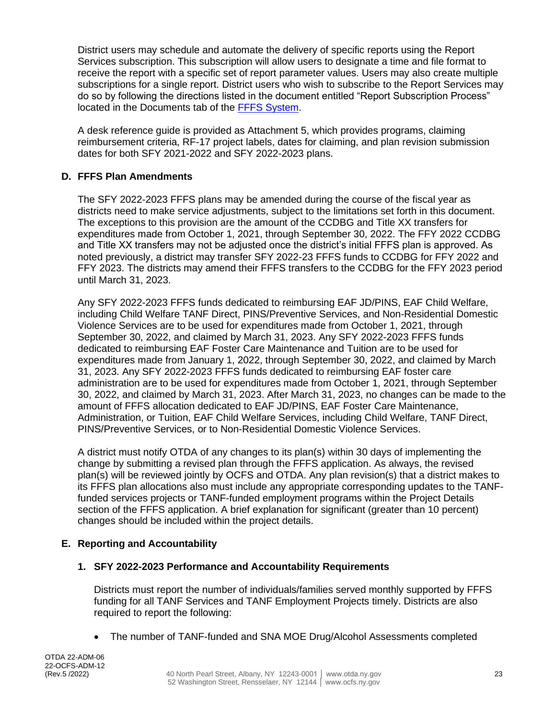District users may schedule and automate the delivery of specific reports using the Report Services subscription. This subscription will allow users to designate a time and file format to receive the report with a specific set of report parameter values. Users may also create multiple subscriptions for a single report. District users who wish to subscribe to the Report Services may do so by following the directions listed in the document entitled "Report Subscription Process" located in the Documents tab of the [FFFS System.](https://fffs.otda.ny.gov/fffs/)

A desk reference guide is provided as Attachment 5, which provides programs, claiming reimbursement criteria, RF-17 project labels, dates for claiming, and plan revision submission dates for both SFY 2021-2022 and SFY 2022-2023 plans.

## **D. FFFS Plan Amendments**

The SFY 2022-2023 FFFS plans may be amended during the course of the fiscal year as districts need to make service adjustments, subject to the limitations set forth in this document. The exceptions to this provision are the amount of the CCDBG and Title XX transfers for expenditures made from October 1, 2021, through September 30, 2022. The FFY 2022 CCDBG and Title XX transfers may not be adjusted once the district's initial FFFS plan is approved. As noted previously, a district may transfer SFY 2022-23 FFFS funds to CCDBG for FFY 2022 and FFY 2023. The districts may amend their FFFS transfers to the CCDBG for the FFY 2023 period until March 31, 2023.

Any SFY 2022-2023 FFFS funds dedicated to reimbursing EAF JD/PINS, EAF Child Welfare, including Child Welfare TANF Direct, PINS/Preventive Services, and Non-Residential Domestic Violence Services are to be used for expenditures made from October 1, 2021, through September 30, 2022, and claimed by March 31, 2023. Any SFY 2022-2023 FFFS funds dedicated to reimbursing EAF Foster Care Maintenance and Tuition are to be used for expenditures made from January 1, 2022, through September 30, 2022, and claimed by March 31, 2023. Any SFY 2022-2023 FFFS funds dedicated to reimbursing EAF foster care administration are to be used for expenditures made from October 1, 2021, through September 30, 2022, and claimed by March 31, 2023. After March 31, 2023, no changes can be made to the amount of FFFS allocation dedicated to EAF JD/PINS, EAF Foster Care Maintenance, Administration, or Tuition, EAF Child Welfare Services, including Child Welfare, TANF Direct, PINS/Preventive Services, or to Non-Residential Domestic Violence Services.

A district must notify OTDA of any changes to its plan(s) within 30 days of implementing the change by submitting a revised plan through the FFFS application. As always, the revised plan(s) will be reviewed jointly by OCFS and OTDA. Any plan revision(s) that a district makes to its FFFS plan allocations also must include any appropriate corresponding updates to the TANFfunded services projects or TANF-funded employment programs within the Project Details section of the FFFS application. A brief explanation for significant (greater than 10 percent) changes should be included within the project details.

## **E. Reporting and Accountability**

#### **1. SFY 2022-2023 Performance and Accountability Requirements**

Districts must report the number of individuals/families served monthly supported by FFFS funding for all TANF Services and TANF Employment Projects timely. Districts are also required to report the following:

• The number of TANF-funded and SNA MOE Drug/Alcohol Assessments completed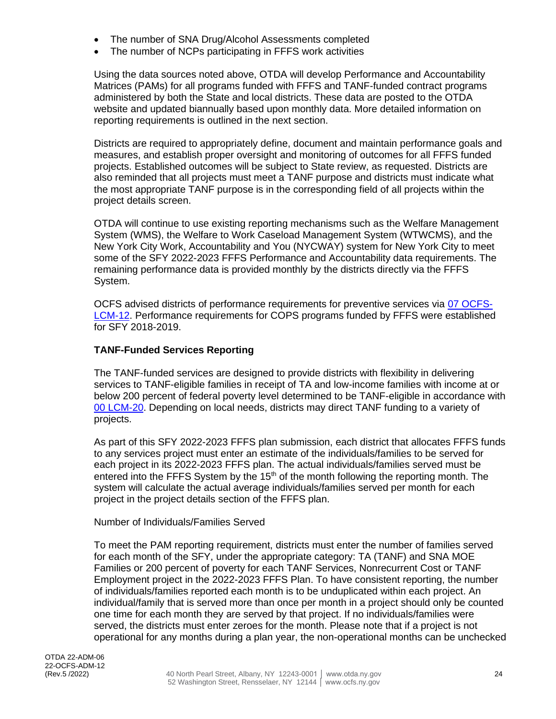- The number of SNA Drug/Alcohol Assessments completed
- The number of NCPs participating in FFFS work activities

Using the data sources noted above, OTDA will develop Performance and Accountability Matrices (PAMs) for all programs funded with FFFS and TANF-funded contract programs administered by both the State and local districts. These data are posted to the OTDA website and updated biannually based upon monthly data. More detailed information on reporting requirements is outlined in the next section.

Districts are required to appropriately define, document and maintain performance goals and measures, and establish proper oversight and monitoring of outcomes for all FFFS funded projects. Established outcomes will be subject to State review, as requested. Districts are also reminded that all projects must meet a TANF purpose and districts must indicate what the most appropriate TANF purpose is in the corresponding field of all projects within the project details screen.

OTDA will continue to use existing reporting mechanisms such as the Welfare Management System (WMS), the Welfare to Work Caseload Management System (WTWCMS), and the New York City Work, Accountability and You (NYCWAY) system for New York City to meet some of the SFY 2022-2023 FFFS Performance and Accountability data requirements. The remaining performance data is provided monthly by the districts directly via the FFFS System.

OCFS advised districts of performance requirements for preventive services via [07 OCFS-](http://ocfs.state.nyenet/policies/external/OCFS_2007/LCMs/07-OCFS-LCM-12%20Preventive%20Services%20-%20Performance-%20or%20Outcome-Based%20Provisions.pdf)[LCM-12.](http://ocfs.state.nyenet/policies/external/OCFS_2007/LCMs/07-OCFS-LCM-12%20Preventive%20Services%20-%20Performance-%20or%20Outcome-Based%20Provisions.pdf) Performance requirements for COPS programs funded by FFFS were established for SFY 2018-2019.

#### **TANF-Funded Services Reporting**

The TANF-funded services are designed to provide districts with flexibility in delivering services to TANF-eligible families in receipt of TA and low-income families with income at or below 200 percent of federal poverty level determined to be TANF-eligible in accordance with [00 LCM-20.](http://otda.ny.gov/policy/directives/2000/LCM/00_LCM-20.pdf) Depending on local needs, districts may direct TANF funding to a variety of projects.

As part of this SFY 2022-2023 FFFS plan submission, each district that allocates FFFS funds to any services project must enter an estimate of the individuals/families to be served for each project in its 2022-2023 FFFS plan. The actual individuals/families served must be entered into the FFFS System by the  $15<sup>th</sup>$  of the month following the reporting month. The system will calculate the actual average individuals/families served per month for each project in the project details section of the FFFS plan.

#### Number of Individuals/Families Served

To meet the PAM reporting requirement, districts must enter the number of families served for each month of the SFY, under the appropriate category: TA (TANF) and SNA MOE Families or 200 percent of poverty for each TANF Services, Nonrecurrent Cost or TANF Employment project in the 2022-2023 FFFS Plan. To have consistent reporting, the number of individuals/families reported each month is to be unduplicated within each project. An individual/family that is served more than once per month in a project should only be counted one time for each month they are served by that project. If no individuals/families were served, the districts must enter zeroes for the month. Please note that if a project is not operational for any months during a plan year, the non-operational months can be unchecked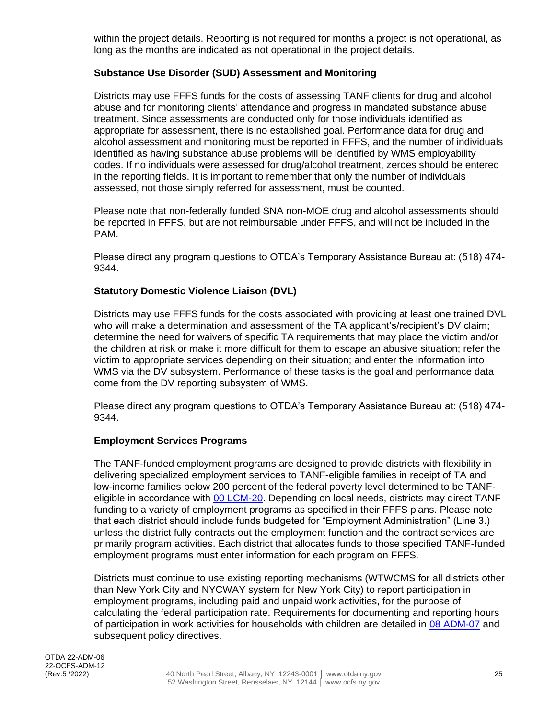within the project details. Reporting is not required for months a project is not operational, as long as the months are indicated as not operational in the project details.

### **Substance Use Disorder (SUD) Assessment and Monitoring**

Districts may use FFFS funds for the costs of assessing TANF clients for drug and alcohol abuse and for monitoring clients' attendance and progress in mandated substance abuse treatment. Since assessments are conducted only for those individuals identified as appropriate for assessment, there is no established goal. Performance data for drug and alcohol assessment and monitoring must be reported in FFFS, and the number of individuals identified as having substance abuse problems will be identified by WMS employability codes. If no individuals were assessed for drug/alcohol treatment, zeroes should be entered in the reporting fields. It is important to remember that only the number of individuals assessed, not those simply referred for assessment, must be counted.

Please note that non-federally funded SNA non-MOE drug and alcohol assessments should be reported in FFFS, but are not reimbursable under FFFS, and will not be included in the PAM.

Please direct any program questions to OTDA's Temporary Assistance Bureau at: (518) 474- 9344.

#### **Statutory Domestic Violence Liaison (DVL)**

Districts may use FFFS funds for the costs associated with providing at least one trained DVL who will make a determination and assessment of the TA applicant's/recipient's DV claim: determine the need for waivers of specific TA requirements that may place the victim and/or the children at risk or make it more difficult for them to escape an abusive situation; refer the victim to appropriate services depending on their situation; and enter the information into WMS via the DV subsystem. Performance of these tasks is the goal and performance data come from the DV reporting subsystem of WMS.

Please direct any program questions to OTDA's Temporary Assistance Bureau at: (518) 474- 9344.

#### **Employment Services Programs**

The TANF-funded employment programs are designed to provide districts with flexibility in delivering specialized employment services to TANF-eligible families in receipt of TA and low-income families below 200 percent of the federal poverty level determined to be TANFeligible in accordance with [00 LCM-20.](http://otda.ny.gov/policy/directives/2000/LCM/00_LCM-20.pdf) Depending on local needs, districts may direct TANF funding to a variety of employment programs as specified in their FFFS plans. Please note that each district should include funds budgeted for "Employment Administration" (Line 3.) unless the district fully contracts out the employment function and the contract services are primarily program activities. Each district that allocates funds to those specified TANF-funded employment programs must enter information for each program on FFFS.

Districts must continue to use existing reporting mechanisms (WTWCMS for all districts other than New York City and NYCWAY system for New York City) to report participation in employment programs, including paid and unpaid work activities, for the purpose of calculating the federal participation rate. Requirements for documenting and reporting hours of participation in work activities for households with children are detailed in [08 ADM-07](https://otda.ny.gov/policy/directives/2008/ADM/08-ADM-07.pdf) and subsequent policy directives.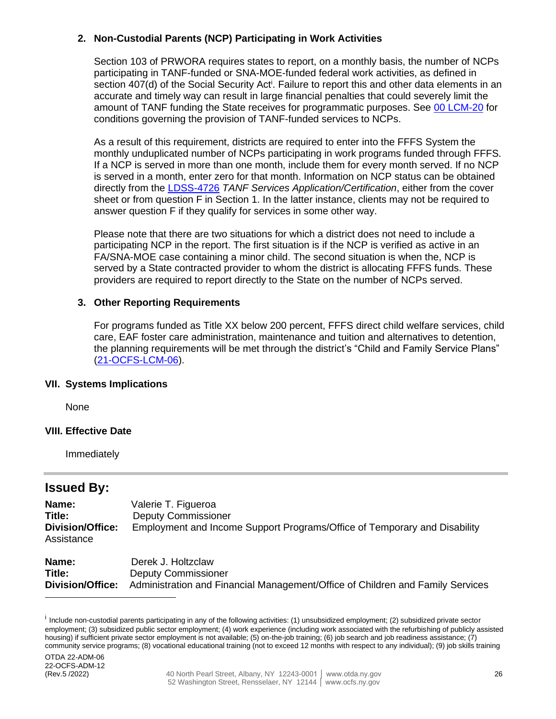### **2. Non-Custodial Parents (NCP) Participating in Work Activities**

Section 103 of PRWORA requires states to report, on a monthly basis, the number of NCPs participating in TANF-funded or SNA-MOE-funded federal work activities, as defined in section 407(d) of the Social Security Act<sup>i</sup>. Failure to report this and other data elements in an accurate and timely way can result in large financial penalties that could severely limit the amount of TANF funding the State receives for programmatic purposes. See 00 [LCM-20](http://otda.ny.gov/policy/directives/2000/LCM/00_LCM-20.pdf) for conditions governing the provision of TANF-funded services to NCPs.

As a result of this requirement, districts are required to enter into the FFFS System the monthly unduplicated number of NCPs participating in work programs funded through FFFS. If a NCP is served in more than one month, include them for every month served. If no NCP is served in a month, enter zero for that month. Information on NCP status can be obtained directly from the [LDSS-4726](http://otda.state.nyenet/ldss_eforms/eforms/4726.pdf) *TANF Services Application/Certification*, either from the cover sheet or from question F in Section 1. In the latter instance, clients may not be required to answer question F if they qualify for services in some other way.

Please note that there are two situations for which a district does not need to include a participating NCP in the report. The first situation is if the NCP is verified as active in an FA/SNA-MOE case containing a minor child. The second situation is when the, NCP is served by a State contracted provider to whom the district is allocating FFFS funds. These providers are required to report directly to the State on the number of NCPs served.

#### **3. Other Reporting Requirements**

For programs funded as Title XX below 200 percent, FFFS direct child welfare services, child care, EAF foster care administration, maintenance and tuition and alternatives to detention, the planning requirements will be met through the district's "Child and Family Service Plans" [\(21-OCFS-LCM-06\)](http://www.ocfs.state.ny.us/main/policies/external/ocfs_2021/LCM/21-OCFS-LCM-06.pdf).

#### **VII. Systems Implications**

None

#### **VIII. Effective Date**

Immediately

## **Issued By:**

| Name:<br>Title:<br><b>Division/Office:</b><br>Assistance | Valerie T. Figueroa<br><b>Deputy Commissioner</b><br>Employment and Income Support Programs/Office of Temporary and Disability |
|----------------------------------------------------------|--------------------------------------------------------------------------------------------------------------------------------|
| Name:                                                    | Derek J. Holtzclaw                                                                                                             |

| DEIEK J. NUILLUID V                                                                             |
|-------------------------------------------------------------------------------------------------|
| <b>Deputy Commissioner</b>                                                                      |
| Division/Office: Administration and Financial Management/Office of Children and Family Services |
|                                                                                                 |

<sup>&</sup>lt;sup>i</sup> Include non-custodial parents participating in any of the following activities: (1) unsubsidized employment; (2) subsidized private sector employment; (3) subsidized public sector employment; (4) work experience (including work associated with the refurbishing of publicly assisted housing) if sufficient private sector employment is not available; (5) on-the-job training; (6) job search and job readiness assistance; (7) community service programs; (8) vocational educational training (not to exceed 12 months with respect to any individual); (9) job skills training